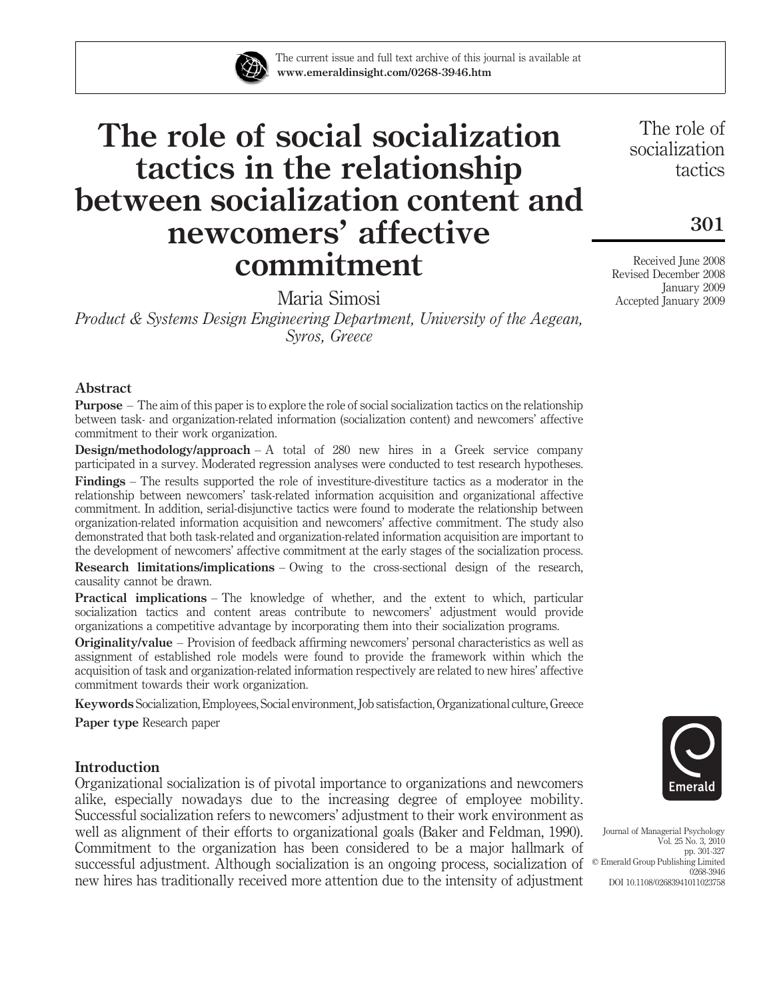

The current issue and full text archive of this journal is available at www.emeraldinsight.com/0268-3946.htm

# The role of social socialization tactics in the relationship between socialization content and newcomers' affective commitment

Maria Simosi

Product & Systems Design Engineering Department, University of the Aegean, Syros, Greece

Abstract

Purpose – The aim of this paper is to explore the role of social socialization tactics on the relationship between task- and organization-related information (socialization content) and newcomers' affective commitment to their work organization.

**Design/methodology/approach** – A total of 280 new hires in a Greek service company participated in a survey. Moderated regression analyses were conducted to test research hypotheses.

Findings – The results supported the role of investiture-divestiture tactics as a moderator in the relationship between newcomers' task-related information acquisition and organizational affective commitment. In addition, serial-disjunctive tactics were found to moderate the relationship between organization-related information acquisition and newcomers' affective commitment. The study also demonstrated that both task-related and organization-related information acquisition are important to the development of newcomers' affective commitment at the early stages of the socialization process.

Research limitations/implications – Owing to the cross-sectional design of the research, causality cannot be drawn.

Practical implications – The knowledge of whether, and the extent to which, particular socialization tactics and content areas contribute to newcomers' adjustment would provide organizations a competitive advantage by incorporating them into their socialization programs.

Originality/value – Provision of feedback affirming newcomers' personal characteristics as well as assignment of established role models were found to provide the framework within which the acquisition of task and organization-related information respectively are related to new hires' affective commitment towards their work organization.

Keywords Socialization, Employees, Social environment, Job satisfaction, Organizational culture, Greece

Paper type Research paper

# **Introduction**

Organizational socialization is of pivotal importance to organizations and newcomers alike, especially nowadays due to the increasing degree of employee mobility. Successful socialization refers to newcomers' adjustment to their work environment as well as alignment of their efforts to organizational goals (Baker and Feldman, 1990). Commitment to the organization has been considered to be a major hallmark of successful adjustment. Although socialization is an ongoing process, socialization of  $\circ$  Emerald Group Publishing Limited new hires has traditionally received more attention due to the intensity of adjustment



Journal of Managerial Psychology Vol. 25 No. 3, 2010 pp. 301-327 0268-3946 DOI 10.1108/02683941011023758

The role of socialization tactics

301

Received June 2008 Revised December 2008 January 2009 Accepted January 2009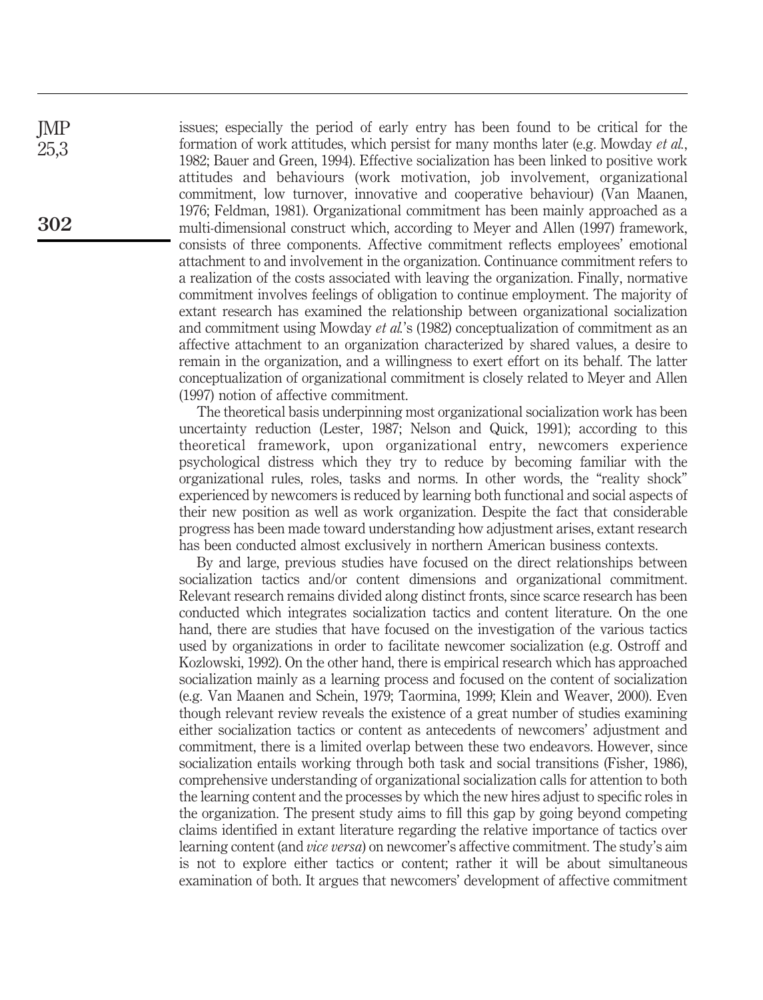issues; especially the period of early entry has been found to be critical for the formation of work attitudes, which persist for many months later (e.g. Mowday et al., 1982; Bauer and Green, 1994). Effective socialization has been linked to positive work attitudes and behaviours (work motivation, job involvement, organizational commitment, low turnover, innovative and cooperative behaviour) (Van Maanen, 1976; Feldman, 1981). Organizational commitment has been mainly approached as a multi-dimensional construct which, according to Meyer and Allen (1997) framework, consists of three components. Affective commitment reflects employees' emotional attachment to and involvement in the organization. Continuance commitment refers to a realization of the costs associated with leaving the organization. Finally, normative commitment involves feelings of obligation to continue employment. The majority of extant research has examined the relationship between organizational socialization and commitment using Mowday et al.'s (1982) conceptualization of commitment as an affective attachment to an organization characterized by shared values, a desire to remain in the organization, and a willingness to exert effort on its behalf. The latter conceptualization of organizational commitment is closely related to Meyer and Allen (1997) notion of affective commitment.

The theoretical basis underpinning most organizational socialization work has been uncertainty reduction (Lester, 1987; Nelson and Quick, 1991); according to this theoretical framework, upon organizational entry, newcomers experience psychological distress which they try to reduce by becoming familiar with the organizational rules, roles, tasks and norms. In other words, the "reality shock" experienced by newcomers is reduced by learning both functional and social aspects of their new position as well as work organization. Despite the fact that considerable progress has been made toward understanding how adjustment arises, extant research has been conducted almost exclusively in northern American business contexts.

By and large, previous studies have focused on the direct relationships between socialization tactics and/or content dimensions and organizational commitment. Relevant research remains divided along distinct fronts, since scarce research has been conducted which integrates socialization tactics and content literature. On the one hand, there are studies that have focused on the investigation of the various tactics used by organizations in order to facilitate newcomer socialization (e.g. Ostroff and Kozlowski, 1992). On the other hand, there is empirical research which has approached socialization mainly as a learning process and focused on the content of socialization (e.g. Van Maanen and Schein, 1979; Taormina, 1999; Klein and Weaver, 2000). Even though relevant review reveals the existence of a great number of studies examining either socialization tactics or content as antecedents of newcomers' adjustment and commitment, there is a limited overlap between these two endeavors. However, since socialization entails working through both task and social transitions (Fisher, 1986), comprehensive understanding of organizational socialization calls for attention to both the learning content and the processes by which the new hires adjust to specific roles in the organization. The present study aims to fill this gap by going beyond competing claims identified in extant literature regarding the relative importance of tactics over learning content (and vice versa) on newcomer's affective commitment. The study's aim is not to explore either tactics or content; rather it will be about simultaneous examination of both. It argues that newcomers' development of affective commitment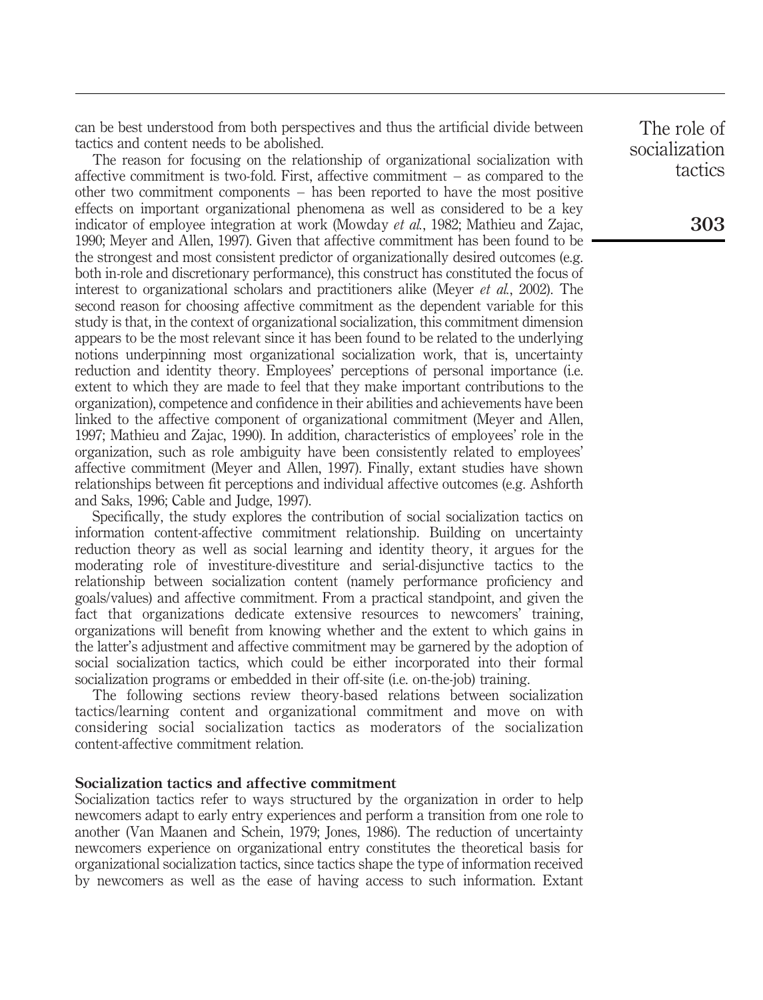can be best understood from both perspectives and thus the artificial divide between tactics and content needs to be abolished.

The reason for focusing on the relationship of organizational socialization with affective commitment is two-fold. First, affective commitment  $-$  as compared to the other two commitment components – has been reported to have the most positive effects on important organizational phenomena as well as considered to be a key indicator of employee integration at work (Mowday et al., 1982; Mathieu and Zajac, 1990; Meyer and Allen, 1997). Given that affective commitment has been found to be the strongest and most consistent predictor of organizationally desired outcomes (e.g. both in-role and discretionary performance), this construct has constituted the focus of interest to organizational scholars and practitioners alike (Meyer et al., 2002). The second reason for choosing affective commitment as the dependent variable for this study is that, in the context of organizational socialization, this commitment dimension appears to be the most relevant since it has been found to be related to the underlying notions underpinning most organizational socialization work, that is, uncertainty reduction and identity theory. Employees' perceptions of personal importance (i.e. extent to which they are made to feel that they make important contributions to the organization), competence and confidence in their abilities and achievements have been linked to the affective component of organizational commitment (Meyer and Allen, 1997; Mathieu and Zajac, 1990). In addition, characteristics of employees' role in the organization, such as role ambiguity have been consistently related to employees' affective commitment (Meyer and Allen, 1997). Finally, extant studies have shown relationships between fit perceptions and individual affective outcomes (e.g. Ashforth and Saks, 1996; Cable and Judge, 1997).

Specifically, the study explores the contribution of social socialization tactics on information content-affective commitment relationship. Building on uncertainty reduction theory as well as social learning and identity theory, it argues for the moderating role of investiture-divestiture and serial-disjunctive tactics to the relationship between socialization content (namely performance proficiency and goals/values) and affective commitment. From a practical standpoint, and given the fact that organizations dedicate extensive resources to newcomers' training, organizations will benefit from knowing whether and the extent to which gains in the latter's adjustment and affective commitment may be garnered by the adoption of social socialization tactics, which could be either incorporated into their formal socialization programs or embedded in their off-site (i.e. on-the-job) training.

The following sections review theory-based relations between socialization tactics/learning content and organizational commitment and move on with considering social socialization tactics as moderators of the socialization content-affective commitment relation.

# Socialization tactics and affective commitment

Socialization tactics refer to ways structured by the organization in order to help newcomers adapt to early entry experiences and perform a transition from one role to another (Van Maanen and Schein, 1979; Jones, 1986). The reduction of uncertainty newcomers experience on organizational entry constitutes the theoretical basis for organizational socialization tactics, since tactics shape the type of information received by newcomers as well as the ease of having access to such information. Extant

The role of socialization tactics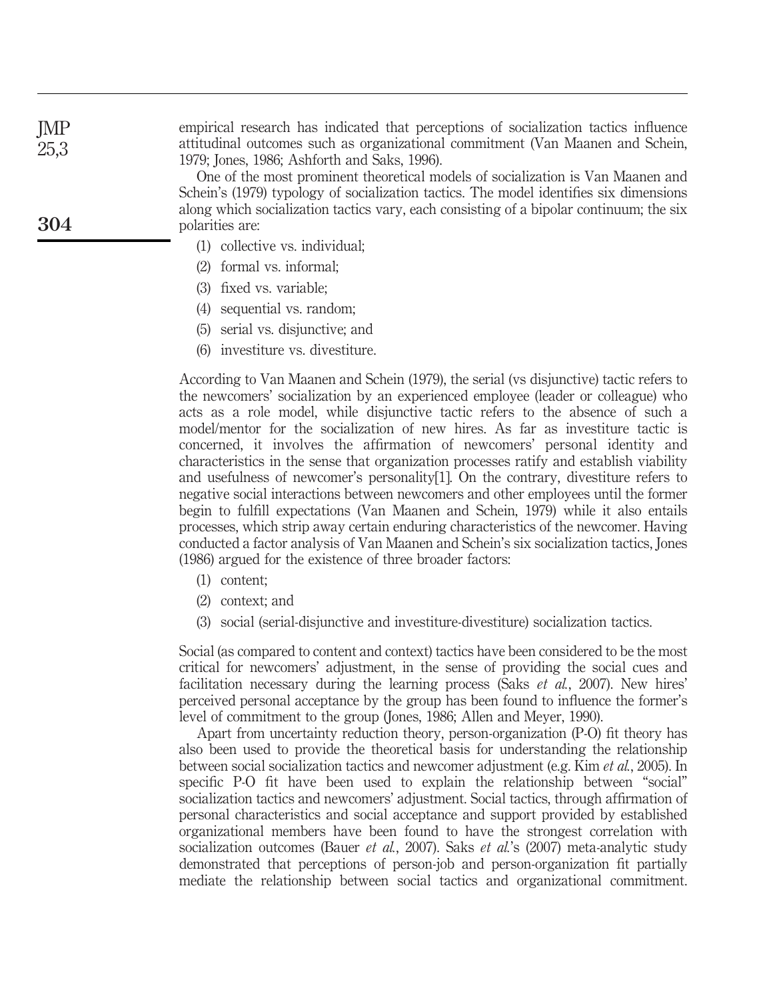empirical research has indicated that perceptions of socialization tactics influence attitudinal outcomes such as organizational commitment (Van Maanen and Schein, 1979; Jones, 1986; Ashforth and Saks, 1996).

One of the most prominent theoretical models of socialization is Van Maanen and Schein's (1979) typology of socialization tactics. The model identifies six dimensions along which socialization tactics vary, each consisting of a bipolar continuum; the six polarities are:

- (1) collective vs. individual;
- (2) formal vs. informal;
- (3) fixed vs. variable;
- (4) sequential vs. random;
- (5) serial vs. disjunctive; and
- (6) investiture vs. divestiture.

According to Van Maanen and Schein (1979), the serial (vs disjunctive) tactic refers to the newcomers' socialization by an experienced employee (leader or colleague) who acts as a role model, while disjunctive tactic refers to the absence of such a model/mentor for the socialization of new hires. As far as investiture tactic is concerned, it involves the affirmation of newcomers' personal identity and characteristics in the sense that organization processes ratify and establish viability and usefulness of newcomer's personality[1]. On the contrary, divestiture refers to negative social interactions between newcomers and other employees until the former begin to fulfill expectations (Van Maanen and Schein, 1979) while it also entails processes, which strip away certain enduring characteristics of the newcomer. Having conducted a factor analysis of Van Maanen and Schein's six socialization tactics, Jones (1986) argued for the existence of three broader factors:

- (1) content;
- (2) context; and
- (3) social (serial-disjunctive and investiture-divestiture) socialization tactics.

Social (as compared to content and context) tactics have been considered to be the most critical for newcomers' adjustment, in the sense of providing the social cues and facilitation necessary during the learning process (Saks et al., 2007). New hires' perceived personal acceptance by the group has been found to influence the former's level of commitment to the group (Jones, 1986; Allen and Meyer, 1990).

Apart from uncertainty reduction theory, person-organization (P-O) fit theory has also been used to provide the theoretical basis for understanding the relationship between social socialization tactics and newcomer adjustment (e.g. Kim et al., 2005). In specific P-O fit have been used to explain the relationship between "social" socialization tactics and newcomers' adjustment. Social tactics, through affirmation of personal characteristics and social acceptance and support provided by established organizational members have been found to have the strongest correlation with socialization outcomes (Bauer et al., 2007). Saks et al.'s (2007) meta-analytic study demonstrated that perceptions of person-job and person-organization fit partially mediate the relationship between social tactics and organizational commitment.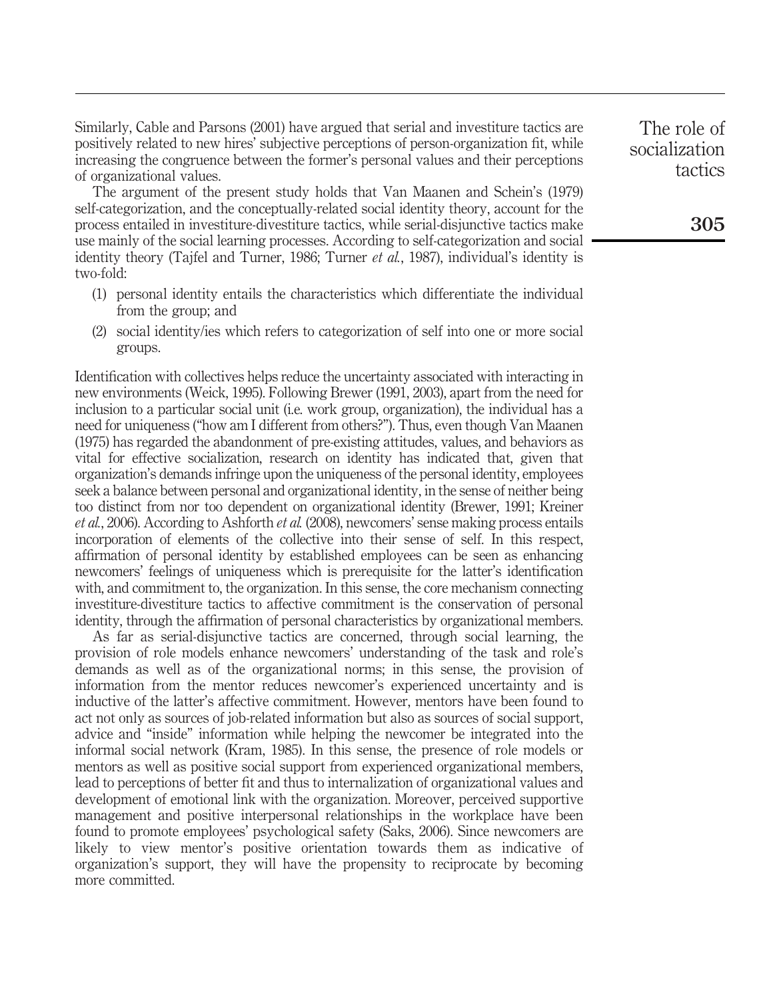Similarly, Cable and Parsons (2001) have argued that serial and investiture tactics are positively related to new hires' subjective perceptions of person-organization fit, while increasing the congruence between the former's personal values and their perceptions of organizational values.

The argument of the present study holds that Van Maanen and Schein's (1979) self-categorization, and the conceptually-related social identity theory, account for the process entailed in investiture-divestiture tactics, while serial-disjunctive tactics make use mainly of the social learning processes. According to self-categorization and social identity theory (Tajfel and Turner, 1986; Turner et al., 1987), individual's identity is two-fold:

- (1) personal identity entails the characteristics which differentiate the individual from the group; and
- (2) social identity/ies which refers to categorization of self into one or more social groups.

Identification with collectives helps reduce the uncertainty associated with interacting in new environments (Weick, 1995). Following Brewer (1991, 2003), apart from the need for inclusion to a particular social unit (i.e. work group, organization), the individual has a need for uniqueness ("how am I different from others?"). Thus, even though Van Maanen (1975) has regarded the abandonment of pre-existing attitudes, values, and behaviors as vital for effective socialization, research on identity has indicated that, given that organization's demands infringe upon the uniqueness of the personal identity, employees seek a balance between personal and organizational identity, in the sense of neither being too distinct from nor too dependent on organizational identity (Brewer, 1991; Kreiner et al., 2006). According to Ashforth et al. (2008), newcomers' sense making process entails incorporation of elements of the collective into their sense of self. In this respect, affirmation of personal identity by established employees can be seen as enhancing newcomers' feelings of uniqueness which is prerequisite for the latter's identification with, and commitment to, the organization. In this sense, the core mechanism connecting investiture-divestiture tactics to affective commitment is the conservation of personal identity, through the affirmation of personal characteristics by organizational members.

As far as serial-disjunctive tactics are concerned, through social learning, the provision of role models enhance newcomers' understanding of the task and role's demands as well as of the organizational norms; in this sense, the provision of information from the mentor reduces newcomer's experienced uncertainty and is inductive of the latter's affective commitment. However, mentors have been found to act not only as sources of job-related information but also as sources of social support, advice and "inside" information while helping the newcomer be integrated into the informal social network (Kram, 1985). In this sense, the presence of role models or mentors as well as positive social support from experienced organizational members, lead to perceptions of better fit and thus to internalization of organizational values and development of emotional link with the organization. Moreover, perceived supportive management and positive interpersonal relationships in the workplace have been found to promote employees' psychological safety (Saks, 2006). Since newcomers are likely to view mentor's positive orientation towards them as indicative of organization's support, they will have the propensity to reciprocate by becoming more committed.

The role of socialization tactics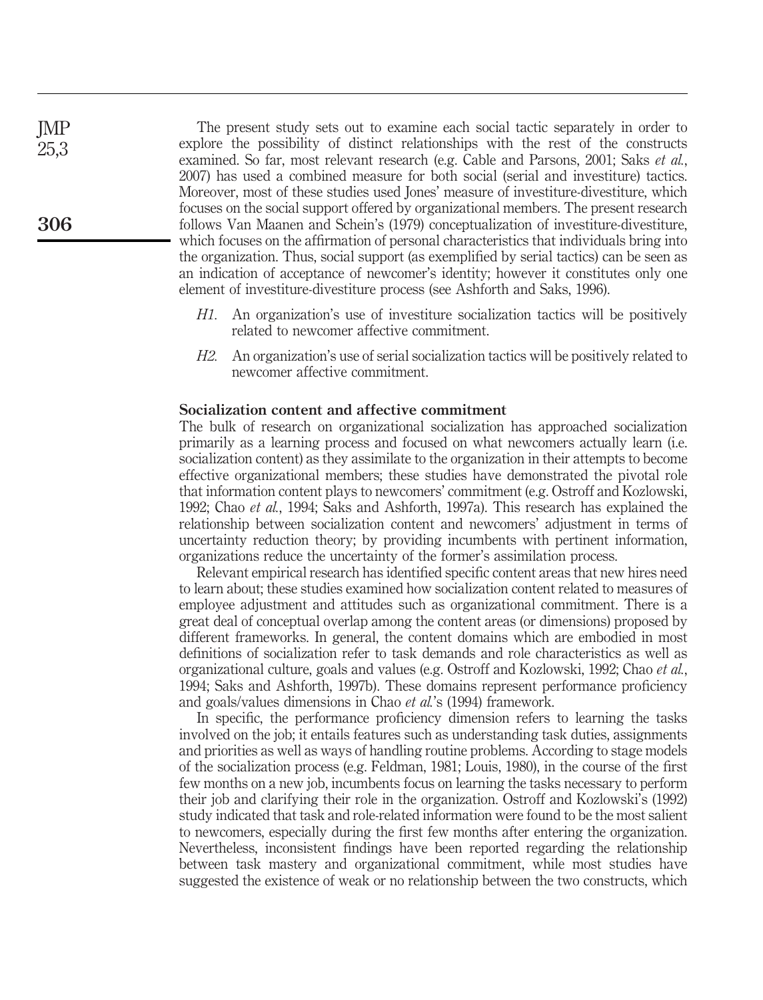The present study sets out to examine each social tactic separately in order to explore the possibility of distinct relationships with the rest of the constructs examined. So far, most relevant research (e.g. Cable and Parsons, 2001; Saks et al., 2007) has used a combined measure for both social (serial and investiture) tactics. Moreover, most of these studies used Jones' measure of investiture-divestiture, which focuses on the social support offered by organizational members. The present research follows Van Maanen and Schein's (1979) conceptualization of investiture-divestiture, which focuses on the affirmation of personal characteristics that individuals bring into the organization. Thus, social support (as exemplified by serial tactics) can be seen as an indication of acceptance of newcomer's identity; however it constitutes only one element of investiture-divestiture process (see Ashforth and Saks, 1996).

- H1. An organization's use of investiture socialization tactics will be positively related to newcomer affective commitment.
- H2. An organization's use of serial socialization tactics will be positively related to newcomer affective commitment.

## Socialization content and affective commitment

The bulk of research on organizational socialization has approached socialization primarily as a learning process and focused on what newcomers actually learn (i.e. socialization content) as they assimilate to the organization in their attempts to become effective organizational members; these studies have demonstrated the pivotal role that information content plays to newcomers' commitment (e.g. Ostroff and Kozlowski, 1992; Chao et al., 1994; Saks and Ashforth, 1997a). This research has explained the relationship between socialization content and newcomers' adjustment in terms of uncertainty reduction theory; by providing incumbents with pertinent information, organizations reduce the uncertainty of the former's assimilation process.

Relevant empirical research has identified specific content areas that new hires need to learn about; these studies examined how socialization content related to measures of employee adjustment and attitudes such as organizational commitment. There is a great deal of conceptual overlap among the content areas (or dimensions) proposed by different frameworks. In general, the content domains which are embodied in most definitions of socialization refer to task demands and role characteristics as well as organizational culture, goals and values (e.g. Ostroff and Kozlowski, 1992; Chao et al., 1994; Saks and Ashforth, 1997b). These domains represent performance proficiency and goals/values dimensions in Chao et al.'s (1994) framework.

In specific, the performance proficiency dimension refers to learning the tasks involved on the job; it entails features such as understanding task duties, assignments and priorities as well as ways of handling routine problems. According to stage models of the socialization process (e.g. Feldman, 1981; Louis, 1980), in the course of the first few months on a new job, incumbents focus on learning the tasks necessary to perform their job and clarifying their role in the organization. Ostroff and Kozlowski's (1992) study indicated that task and role-related information were found to be the most salient to newcomers, especially during the first few months after entering the organization. Nevertheless, inconsistent findings have been reported regarding the relationship between task mastery and organizational commitment, while most studies have suggested the existence of weak or no relationship between the two constructs, which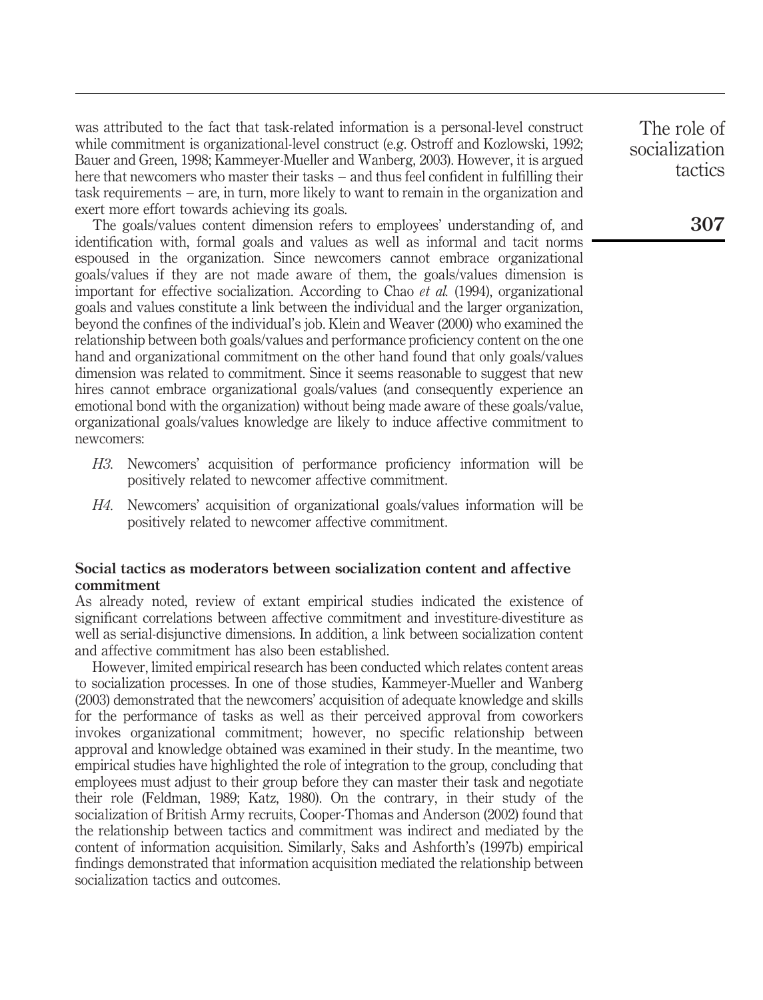was attributed to the fact that task-related information is a personal-level construct while commitment is organizational-level construct (e.g. Ostroff and Kozlowski, 1992; Bauer and Green, 1998; Kammeyer-Mueller and Wanberg, 2003). However, it is argued here that newcomers who master their tasks – and thus feel confident in fulfilling their task requirements – are, in turn, more likely to want to remain in the organization and exert more effort towards achieving its goals.

The goals/values content dimension refers to employees' understanding of, and identification with, formal goals and values as well as informal and tacit norms espoused in the organization. Since newcomers cannot embrace organizational goals/values if they are not made aware of them, the goals/values dimension is important for effective socialization. According to Chao et al. (1994), organizational goals and values constitute a link between the individual and the larger organization, beyond the confines of the individual's job. Klein and Weaver (2000) who examined the relationship between both goals/values and performance proficiency content on the one hand and organizational commitment on the other hand found that only goals/values dimension was related to commitment. Since it seems reasonable to suggest that new hires cannot embrace organizational goals/values (and consequently experience an emotional bond with the organization) without being made aware of these goals/value, organizational goals/values knowledge are likely to induce affective commitment to newcomers:

- H3. Newcomers' acquisition of performance proficiency information will be positively related to newcomer affective commitment.
- H4. Newcomers' acquisition of organizational goals/values information will be positively related to newcomer affective commitment.

# Social tactics as moderators between socialization content and affective commitment

As already noted, review of extant empirical studies indicated the existence of significant correlations between affective commitment and investiture-divestiture as well as serial-disjunctive dimensions. In addition, a link between socialization content and affective commitment has also been established.

However, limited empirical research has been conducted which relates content areas to socialization processes. In one of those studies, Kammeyer-Mueller and Wanberg (2003) demonstrated that the newcomers' acquisition of adequate knowledge and skills for the performance of tasks as well as their perceived approval from coworkers invokes organizational commitment; however, no specific relationship between approval and knowledge obtained was examined in their study. In the meantime, two empirical studies have highlighted the role of integration to the group, concluding that employees must adjust to their group before they can master their task and negotiate their role (Feldman, 1989; Katz, 1980). On the contrary, in their study of the socialization of British Army recruits, Cooper-Thomas and Anderson (2002) found that the relationship between tactics and commitment was indirect and mediated by the content of information acquisition. Similarly, Saks and Ashforth's (1997b) empirical findings demonstrated that information acquisition mediated the relationship between socialization tactics and outcomes.

The role of socialization tactics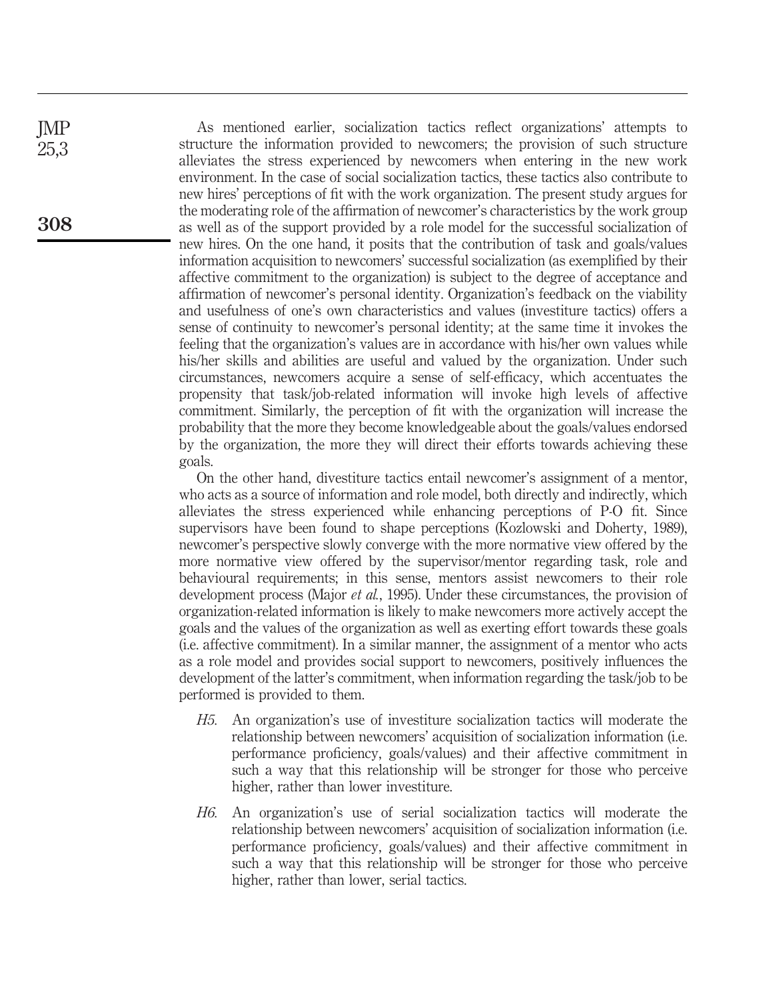As mentioned earlier, socialization tactics reflect organizations' attempts to structure the information provided to newcomers; the provision of such structure alleviates the stress experienced by newcomers when entering in the new work environment. In the case of social socialization tactics, these tactics also contribute to new hires' perceptions of fit with the work organization. The present study argues for the moderating role of the affirmation of newcomer's characteristics by the work group as well as of the support provided by a role model for the successful socialization of new hires. On the one hand, it posits that the contribution of task and goals/values information acquisition to newcomers' successful socialization (as exemplified by their affective commitment to the organization) is subject to the degree of acceptance and affirmation of newcomer's personal identity. Organization's feedback on the viability and usefulness of one's own characteristics and values (investiture tactics) offers a sense of continuity to newcomer's personal identity; at the same time it invokes the feeling that the organization's values are in accordance with his/her own values while his/her skills and abilities are useful and valued by the organization. Under such circumstances, newcomers acquire a sense of self-efficacy, which accentuates the propensity that task/job-related information will invoke high levels of affective commitment. Similarly, the perception of fit with the organization will increase the probability that the more they become knowledgeable about the goals/values endorsed by the organization, the more they will direct their efforts towards achieving these goals.

On the other hand, divestiture tactics entail newcomer's assignment of a mentor, who acts as a source of information and role model, both directly and indirectly, which alleviates the stress experienced while enhancing perceptions of P-O fit. Since supervisors have been found to shape perceptions (Kozlowski and Doherty, 1989), newcomer's perspective slowly converge with the more normative view offered by the more normative view offered by the supervisor/mentor regarding task, role and behavioural requirements; in this sense, mentors assist newcomers to their role development process (Major et al., 1995). Under these circumstances, the provision of organization-related information is likely to make newcomers more actively accept the goals and the values of the organization as well as exerting effort towards these goals (i.e. affective commitment). In a similar manner, the assignment of a mentor who acts as a role model and provides social support to newcomers, positively influences the development of the latter's commitment, when information regarding the task/job to be performed is provided to them.

- H5. An organization's use of investiture socialization tactics will moderate the relationship between newcomers' acquisition of socialization information (i.e. performance proficiency, goals/values) and their affective commitment in such a way that this relationship will be stronger for those who perceive higher, rather than lower investiture.
- H6. An organization's use of serial socialization tactics will moderate the relationship between newcomers' acquisition of socialization information (i.e. performance proficiency, goals/values) and their affective commitment in such a way that this relationship will be stronger for those who perceive higher, rather than lower, serial tactics.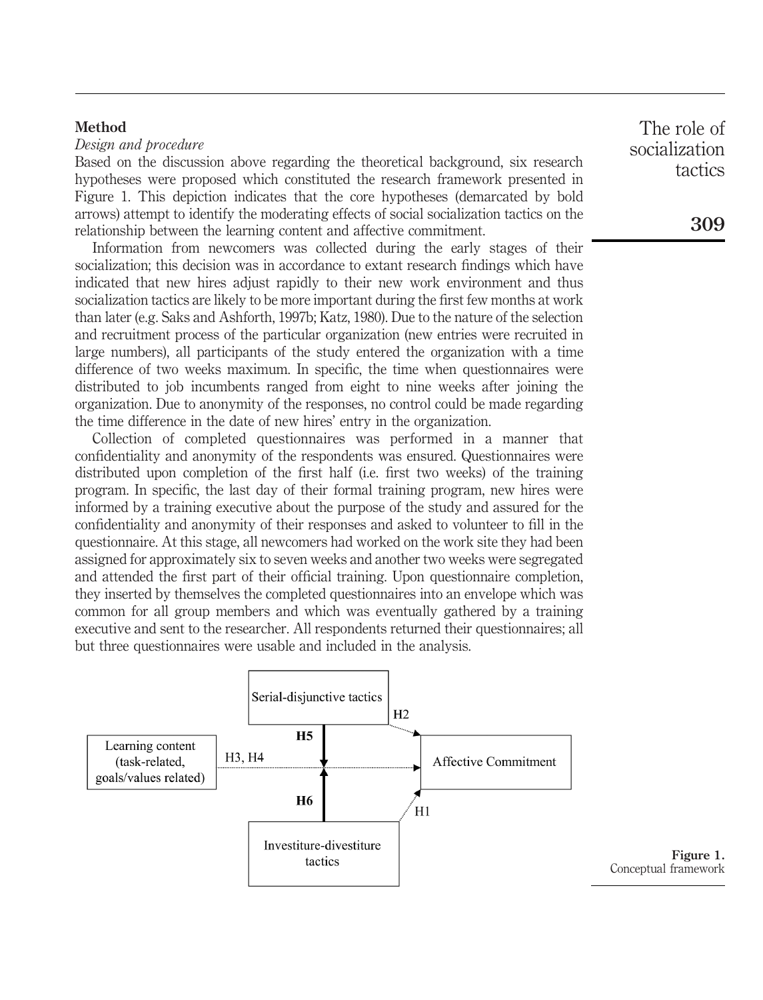# Method

# Design and procedure

Based on the discussion above regarding the theoretical background, six research hypotheses were proposed which constituted the research framework presented in Figure 1. This depiction indicates that the core hypotheses (demarcated by bold arrows) attempt to identify the moderating effects of social socialization tactics on the relationship between the learning content and affective commitment.

Information from newcomers was collected during the early stages of their socialization; this decision was in accordance to extant research findings which have indicated that new hires adjust rapidly to their new work environment and thus socialization tactics are likely to be more important during the first few months at work than later (e.g. Saks and Ashforth, 1997b; Katz, 1980). Due to the nature of the selection and recruitment process of the particular organization (new entries were recruited in large numbers), all participants of the study entered the organization with a time difference of two weeks maximum. In specific, the time when questionnaires were distributed to job incumbents ranged from eight to nine weeks after joining the organization. Due to anonymity of the responses, no control could be made regarding the time difference in the date of new hires' entry in the organization.

Collection of completed questionnaires was performed in a manner that confidentiality and anonymity of the respondents was ensured. Questionnaires were distributed upon completion of the first half (i.e. first two weeks) of the training program. In specific, the last day of their formal training program, new hires were informed by a training executive about the purpose of the study and assured for the confidentiality and anonymity of their responses and asked to volunteer to fill in the questionnaire. At this stage, all newcomers had worked on the work site they had been assigned for approximately six to seven weeks and another two weeks were segregated and attended the first part of their official training. Upon questionnaire completion, they inserted by themselves the completed questionnaires into an envelope which was common for all group members and which was eventually gathered by a training executive and sent to the researcher. All respondents returned their questionnaires; all but three questionnaires were usable and included in the analysis.



The role of socialization tactics

309

Figure 1. Conceptual framework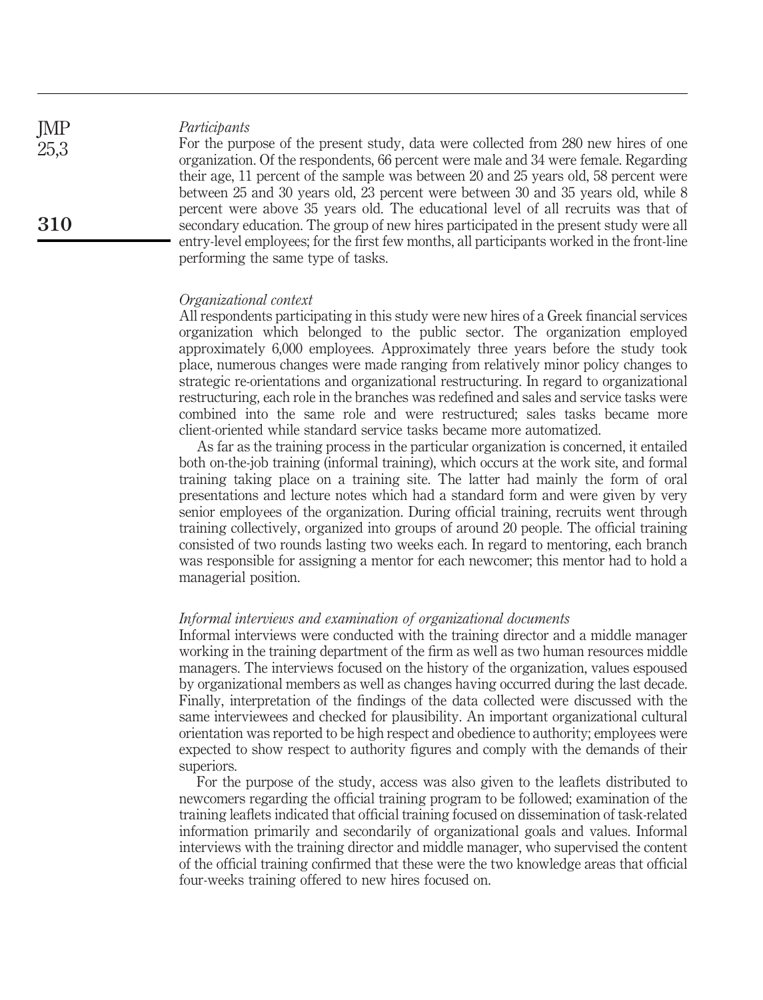**Participants** 

For the purpose of the present study, data were collected from 280 new hires of one organization. Of the respondents, 66 percent were male and 34 were female. Regarding their age, 11 percent of the sample was between 20 and 25 years old, 58 percent were between 25 and 30 years old, 23 percent were between 30 and 35 years old, while 8 percent were above 35 years old. The educational level of all recruits was that of secondary education. The group of new hires participated in the present study were all entry-level employees; for the first few months, all participants worked in the front-line performing the same type of tasks.

#### Organizational context

All respondents participating in this study were new hires of a Greek financial services organization which belonged to the public sector. The organization employed approximately 6,000 employees. Approximately three years before the study took place, numerous changes were made ranging from relatively minor policy changes to strategic re-orientations and organizational restructuring. In regard to organizational restructuring, each role in the branches was redefined and sales and service tasks were combined into the same role and were restructured; sales tasks became more client-oriented while standard service tasks became more automatized.

As far as the training process in the particular organization is concerned, it entailed both on-the-job training (informal training), which occurs at the work site, and formal training taking place on a training site. The latter had mainly the form of oral presentations and lecture notes which had a standard form and were given by very senior employees of the organization. During official training, recruits went through training collectively, organized into groups of around 20 people. The official training consisted of two rounds lasting two weeks each. In regard to mentoring, each branch was responsible for assigning a mentor for each newcomer; this mentor had to hold a managerial position.

#### Informal interviews and examination of organizational documents

Informal interviews were conducted with the training director and a middle manager working in the training department of the firm as well as two human resources middle managers. The interviews focused on the history of the organization, values espoused by organizational members as well as changes having occurred during the last decade. Finally, interpretation of the findings of the data collected were discussed with the same interviewees and checked for plausibility. An important organizational cultural orientation was reported to be high respect and obedience to authority; employees were expected to show respect to authority figures and comply with the demands of their superiors.

For the purpose of the study, access was also given to the leaflets distributed to newcomers regarding the official training program to be followed; examination of the training leaflets indicated that official training focused on dissemination of task-related information primarily and secondarily of organizational goals and values. Informal interviews with the training director and middle manager, who supervised the content of the official training confirmed that these were the two knowledge areas that official four-weeks training offered to new hires focused on.

JMP 25,3

310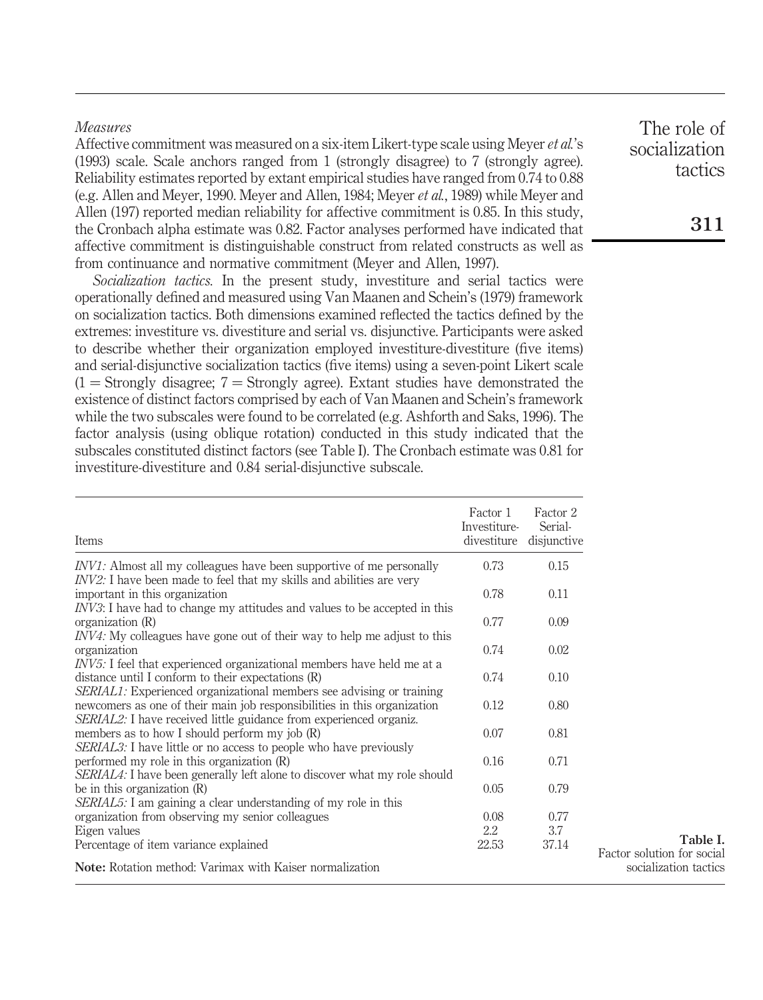# Measures

Affective commitment was measured on a six-item Likert-type scale using Meyer et al.'s (1993) scale. Scale anchors ranged from 1 (strongly disagree) to 7 (strongly agree). Reliability estimates reported by extant empirical studies have ranged from 0.74 to 0.88 (e.g. Allen and Meyer, 1990. Meyer and Allen, 1984; Meyer et al., 1989) while Meyer and Allen (197) reported median reliability for affective commitment is 0.85. In this study, the Cronbach alpha estimate was 0.82. Factor analyses performed have indicated that affective commitment is distinguishable construct from related constructs as well as from continuance and normative commitment (Meyer and Allen, 1997).

Socialization tactics. In the present study, investiture and serial tactics were operationally defined and measured using Van Maanen and Schein's (1979) framework on socialization tactics. Both dimensions examined reflected the tactics defined by the extremes: investiture vs. divestiture and serial vs. disjunctive. Participants were asked to describe whether their organization employed investiture-divestiture (five items) and serial-disjunctive socialization tactics (five items) using a seven-point Likert scale  $(1 =$  Strongly disagree;  $7 =$  Strongly agree). Extant studies have demonstrated the existence of distinct factors comprised by each of Van Maanen and Schein's framework while the two subscales were found to be correlated (e.g. Ashforth and Saks, 1996). The factor analysis (using oblique rotation) conducted in this study indicated that the subscales constituted distinct factors (see Table I). The Cronbach estimate was 0.81 for investiture-divestiture and 0.84 serial-disjunctive subscale.

| <b>Items</b>                                                                                                                                                                        | Factor 1<br>Investiture-<br>divestiture | Factor 2<br>Serial-<br>disjunctive |       |
|-------------------------------------------------------------------------------------------------------------------------------------------------------------------------------------|-----------------------------------------|------------------------------------|-------|
| <i>INV1</i> : Almost all my colleagues have been supportive of me personally<br><i>INV2</i> : I have been made to feel that my skills and abilities are very                        | 0.73                                    | 0.15                               |       |
| important in this organization<br>INV3: I have had to change my attitudes and values to be accepted in this                                                                         | 0.78                                    | 0.11                               |       |
| organization (R)                                                                                                                                                                    | 0.77                                    | 0.09                               |       |
| <i>INV4</i> : My colleagues have gone out of their way to help me adjust to this<br>organization                                                                                    | 0.74                                    | 0.02                               |       |
| INV5: I feel that experienced organizational members have held me at a<br>distance until I conform to their expectations (R)                                                        | 0.74                                    | 0.10                               |       |
| SERIAL1: Experienced organizational members see advising or training<br>newcomers as one of their main job responsibilities in this organization                                    | 0.12                                    | 0.80                               |       |
| SERIAL2: I have received little guidance from experienced organiz.<br>members as to how I should perform my job (R)                                                                 | 0.07                                    | 0.81                               |       |
| <i>SERIAL3</i> : I have little or no access to people who have previously<br>performed my role in this organization (R)                                                             | 0.16                                    | 0.71                               |       |
| <i>SERIALA:</i> I have been generally left alone to discover what my role should<br>be in this organization $(R)$                                                                   | 0.05                                    | 0.79                               |       |
| <i>SERIAL5</i> : I am gaining a clear understanding of my role in this<br>organization from observing my senior colleagues<br>Eigen values<br>Percentage of item variance explained | 0.08<br>$2.2\degree$<br>22.53           | 0.77<br>3.7<br>37.14               |       |
| <b>Note:</b> Rotation method: Varimax with Kaiser normalization                                                                                                                     |                                         |                                    | Facto |

The role of socialization tactics

Table I. or solution for social

socialization tactics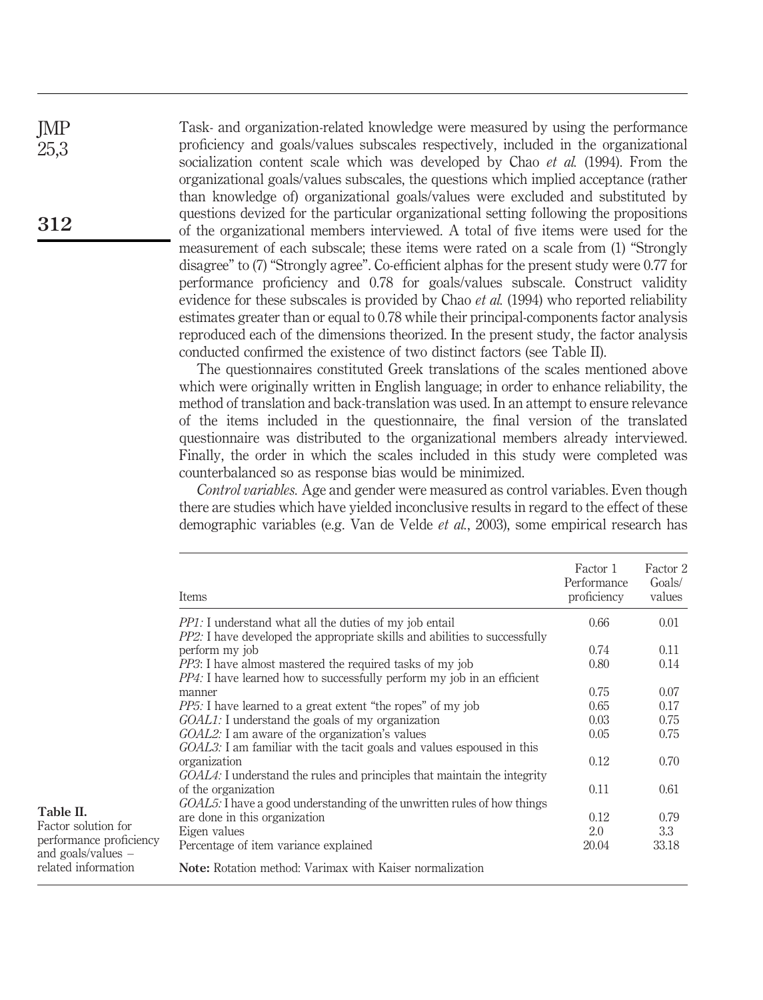Task- and organization-related knowledge were measured by using the performance proficiency and goals/values subscales respectively, included in the organizational socialization content scale which was developed by Chao *et al.* (1994). From the organizational goals/values subscales, the questions which implied acceptance (rather than knowledge of) organizational goals/values were excluded and substituted by questions devized for the particular organizational setting following the propositions of the organizational members interviewed. A total of five items were used for the measurement of each subscale; these items were rated on a scale from (1) "Strongly disagree" to (7) "Strongly agree". Co-efficient alphas for the present study were 0.77 for performance proficiency and 0.78 for goals/values subscale. Construct validity evidence for these subscales is provided by Chao et al. (1994) who reported reliability estimates greater than or equal to 0.78 while their principal-components factor analysis reproduced each of the dimensions theorized. In the present study, the factor analysis conducted confirmed the existence of two distinct factors (see Table II).

The questionnaires constituted Greek translations of the scales mentioned above which were originally written in English language; in order to enhance reliability, the method of translation and back-translation was used. In an attempt to ensure relevance of the items included in the questionnaire, the final version of the translated questionnaire was distributed to the organizational members already interviewed. Finally, the order in which the scales included in this study were completed was counterbalanced so as response bias would be minimized.

Control variables. Age and gender were measured as control variables. Even though there are studies which have yielded inconclusive results in regard to the effect of these demographic variables (e.g. Van de Velde et al., 2003), some empirical research has

|                                                 | Items                                                                                                                                                | Factor 1<br>Performance<br>proficiency | Factor 2<br>Goals/<br>values |
|-------------------------------------------------|------------------------------------------------------------------------------------------------------------------------------------------------------|----------------------------------------|------------------------------|
|                                                 | <i>PP1</i> : I understand what all the duties of my job entail<br><i>PP2</i> : I have developed the appropriate skills and abilities to successfully | 0.66                                   | 0.01                         |
|                                                 | perform my job                                                                                                                                       | 0.74                                   | 0.11                         |
|                                                 | <i>PP3</i> : I have almost mastered the required tasks of my job<br>$PP4$ : I have learned how to successfully perform my job in an efficient        | 0.80                                   | 0.14                         |
|                                                 | manner                                                                                                                                               | 0.75                                   | 0.07                         |
|                                                 | <i>PP5</i> : I have learned to a great extent "the ropes" of my job                                                                                  | 0.65                                   | 0.17                         |
|                                                 | <i>GOAL1</i> : I understand the goals of my organization                                                                                             | 0.03                                   | 0.75                         |
|                                                 | <i>GOAL2</i> : I am aware of the organization's values<br><i>GOAL3</i> : I am familiar with the tacit goals and values espoused in this              | 0.05                                   | 0.75                         |
|                                                 | organization<br><i>GOALA</i> : I understand the rules and principles that maintain the integrity                                                     | 0.12                                   | 0.70                         |
|                                                 | of the organization<br><i>GOAL5</i> : I have a good understanding of the unwritten rules of how things                                               | 0.11                                   | 0.61                         |
| Table II.                                       | are done in this organization                                                                                                                        | 0.12                                   | 0.79                         |
| Factor solution for                             | Eigen values                                                                                                                                         | 2.0                                    | 3.3                          |
| performance proficiency<br>and goals/values $-$ | Percentage of item variance explained                                                                                                                | 20.04                                  | 33.18                        |
| related information                             | <b>Note:</b> Rotation method: Varimax with Kaiser normalization                                                                                      |                                        |                              |

# 312

JMP 25,3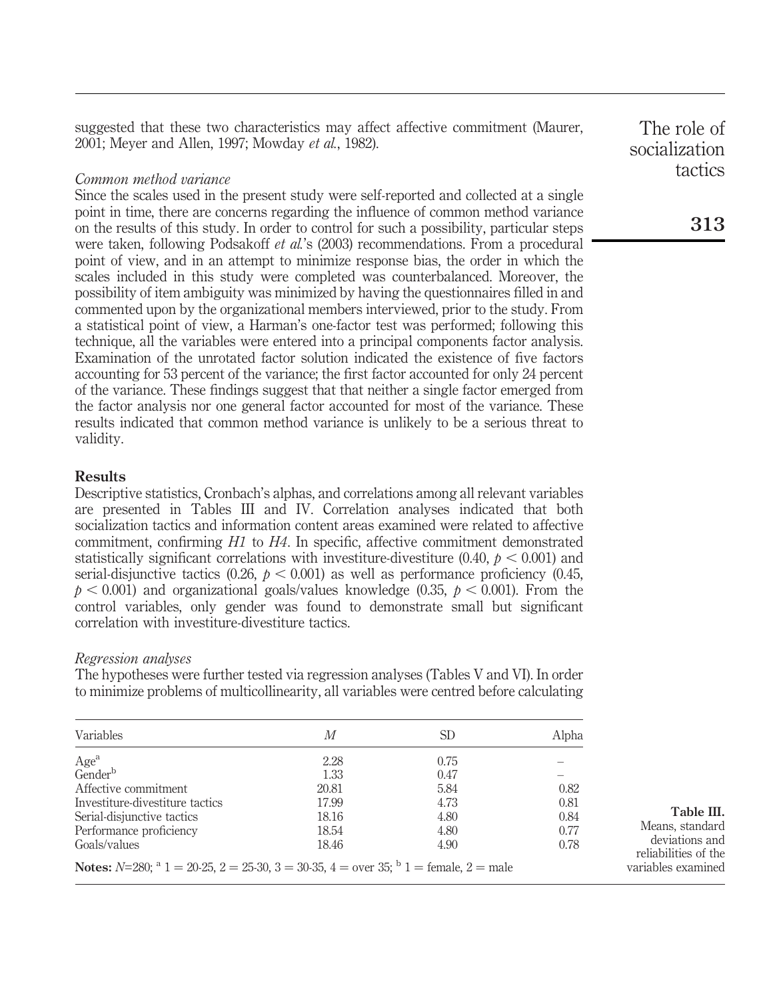suggested that these two characteristics may affect affective commitment (Maurer, 2001; Meyer and Allen, 1997; Mowday et al., 1982).

#### Common method variance

Since the scales used in the present study were self-reported and collected at a single point in time, there are concerns regarding the influence of common method variance on the results of this study. In order to control for such a possibility, particular steps were taken, following Podsakoff et al.'s (2003) recommendations. From a procedural point of view, and in an attempt to minimize response bias, the order in which the scales included in this study were completed was counterbalanced. Moreover, the possibility of item ambiguity was minimized by having the questionnaires filled in and commented upon by the organizational members interviewed, prior to the study. From a statistical point of view, a Harman's one-factor test was performed; following this technique, all the variables were entered into a principal components factor analysis. Examination of the unrotated factor solution indicated the existence of five factors accounting for 53 percent of the variance; the first factor accounted for only 24 percent of the variance. These findings suggest that that neither a single factor emerged from the factor analysis nor one general factor accounted for most of the variance. These results indicated that common method variance is unlikely to be a serious threat to validity.

# Results

Descriptive statistics, Cronbach's alphas, and correlations among all relevant variables are presented in Tables III and IV. Correlation analyses indicated that both socialization tactics and information content areas examined were related to affective commitment, confirming H1 to H4. In specific, affective commitment demonstrated statistically significant correlations with investiture-divestiture  $(0.40, p < 0.001)$  and serial-disjunctive tactics  $(0.26, p < 0.001)$  as well as performance proficiency  $(0.45,$  $p < 0.001$ ) and organizational goals/values knowledge (0.35,  $p < 0.001$ ). From the control variables, only gender was found to demonstrate small but significant correlation with investiture-divestiture tactics.

## Regression analyses

The hypotheses were further tested via regression analyses (Tables V and VI). In order to minimize problems of multicollinearity, all variables were centred before calculating

| Variables                       | М     | SD   | Alpha |
|---------------------------------|-------|------|-------|
| Age <sup>a</sup>                | 2.28  | 0.75 |       |
| Gender <sup>b</sup>             | 1.33  | 0.47 |       |
| Affective commitment            | 20.81 | 5.84 | 0.82  |
| Investiture-divestiture tactics | 17.99 | 4.73 | 0.81  |
| Serial-disjunctive tactics      | 18.16 | 4.80 | 0.84  |
| Performance proficiency         | 18.54 | 4.80 | 0.77  |
| Goals/values                    | 18.46 | 4.90 | 0.78  |

The role of socialization tactics

Table III. Means, standard deviations and reliabilities of the variables examined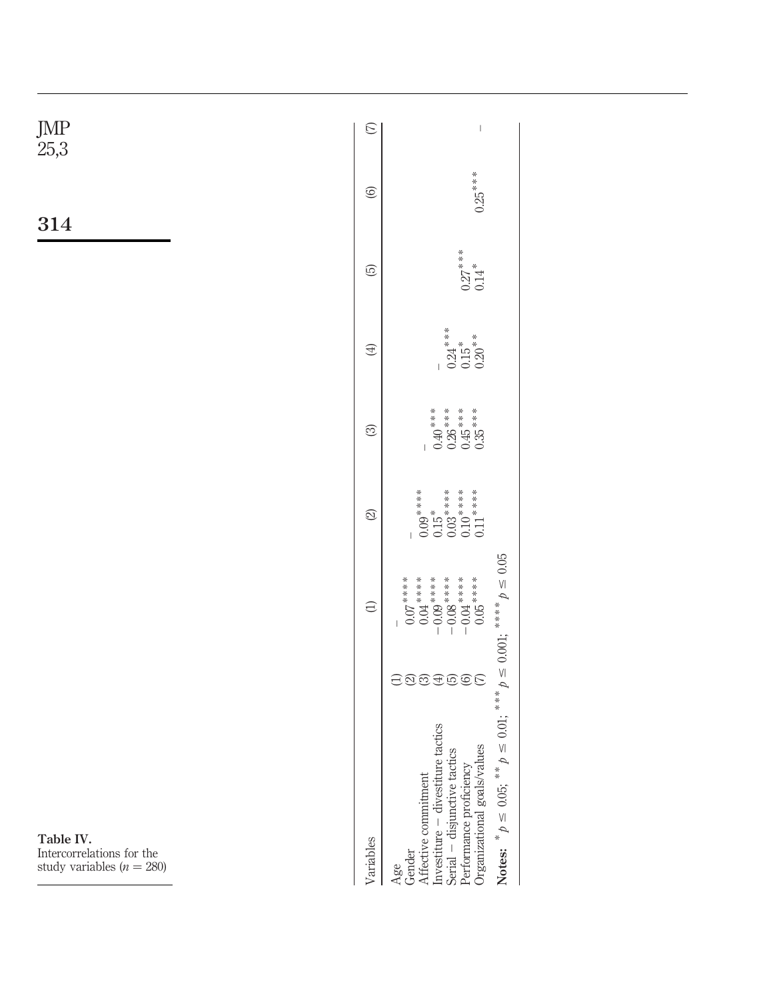| JMP<br>25,3 |  |  |
|-------------|--|--|
| 314         |  |  |

Table IV. Intercorrelations for the study variables  $(n = 280)$ 

| Variables                                                                                                                                                                                                                                                                                                                      |                                                      | $\widehat{\mathbb{S}}$                                                     |           |                                    |                        |         |  |
|--------------------------------------------------------------------------------------------------------------------------------------------------------------------------------------------------------------------------------------------------------------------------------------------------------------------------------|------------------------------------------------------|----------------------------------------------------------------------------|-----------|------------------------------------|------------------------|---------|--|
| ίn<br>$\begin{minipage}{.4\linewidth} \begin{tabular}{l} \bf{in} \bf{v} \rm{estimate} \end{tabular} \begin{tabular}{l} \bf{--} \bf{div} \rm{} \bf{estimate} \end{tabular} \end{minipage}$<br>Irganizational goals/values<br>Performance proficiency<br>Affective commitment<br>Notes: $p^* p \leq 0.05$ ; **.<br>Gender<br>Age | $p \le 0.01$ ; *** $p \le 0.001$ ; **** $p \le 0.05$ | $0.09***$<br>$0.15***$<br>$0.03***$<br>$0.03***$<br>$0.10***$<br>$0.10***$ | $0.40***$ | $0.24***$<br>$0.15**$<br>$0.15***$ | $0.27***$<br>$0.14***$ | $25***$ |  |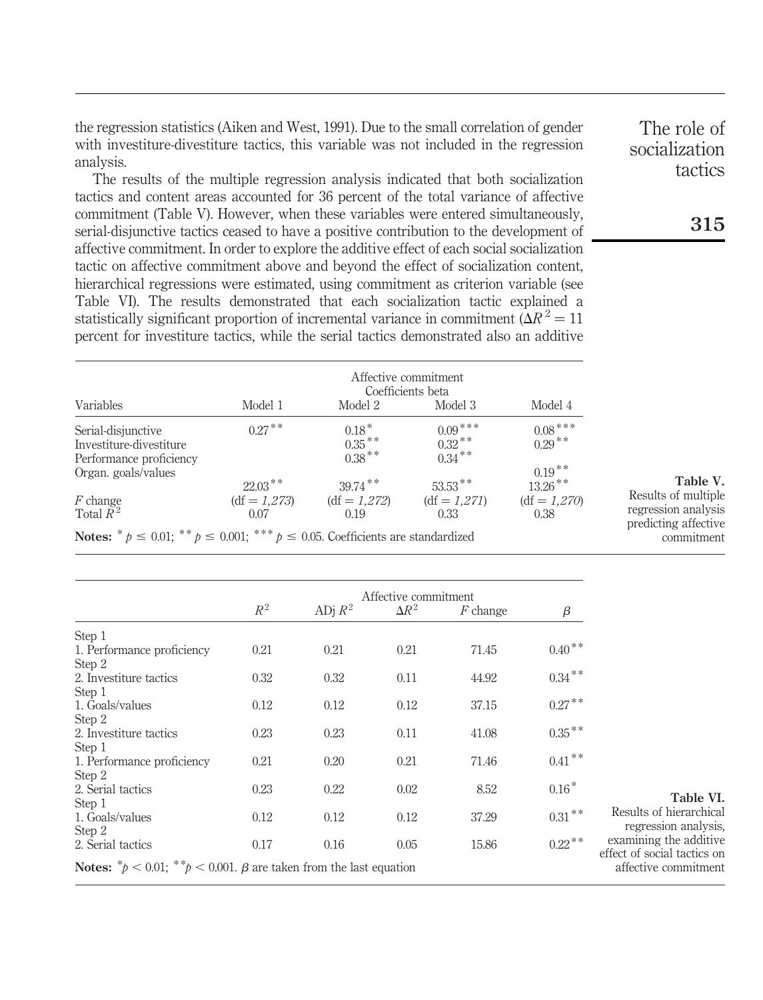the regression statistics (Aiken and West, 1991). Due to the small correlation of gender with investiture-divestiture tactics, this variable was not included in the regression analysis.

The results of the multiple regression analysis indicated that both socialization tactics and content areas accounted for 36 percent of the total variance of affective commitment (Table V). However, when these variables were entered simultaneously, serial-disjunctive tactics ceased to have a positive contribution to the development of affective commitment. In order to explore the additive effect of each social socialization tactic on affective commitment above and beyond the effect of socialization content, hierarchical regressions were estimated, using commitment as criterion variable (see Table VI). The results demonstrated that each socialization tactic explained a statistically significant proportion of incremental variance in commitment  $(\Delta R^2 = 11)$ percent for investiture tactics, while the serial tactics demonstrated also an additive

|                                                                                                           |                                      |                                                 | Affective commitment<br>Coefficients beta |                                      |
|-----------------------------------------------------------------------------------------------------------|--------------------------------------|-------------------------------------------------|-------------------------------------------|--------------------------------------|
| Variables                                                                                                 | Model 1                              | Model 2                                         | Model 3                                   | Model 4                              |
| Serial-disjunctive<br>Investiture-divestiture<br>Performance proficiency<br>Organ. goals/values           | $0.27***$                            | $0.18*$<br>$0.35***$<br>$0.38***$               | $0.09***$<br>$0.32**$<br>$0.34***$        | $0.08$ ***<br>0.29**<br>$0.19***$    |
| F change<br>Total $R^2$                                                                                   | $22.03***$<br>$(df = 1,273)$<br>0.07 | $39.74$ <sup>**</sup><br>$(df = 1,272)$<br>0.19 | $53.53***$<br>$(df = 1,271)$<br>0.33      | $13.26***$<br>$(df = 1,270)$<br>0.38 |
| <b>Notes:</b> $^* p \le 0.01$ ; $^{**} p \le 0.001$ ; $^{***} p \le 0.05$ . Coefficients are standardized |                                      |                                                 |                                           |                                      |

|                                                                                          |       |           | Affective commitment |                 |           |                                                       |
|------------------------------------------------------------------------------------------|-------|-----------|----------------------|-----------------|-----------|-------------------------------------------------------|
|                                                                                          | $R^2$ | ADj $R^2$ | $\Delta R^2$         | <i>F</i> change | β         |                                                       |
| Step 1                                                                                   |       |           |                      |                 |           |                                                       |
| 1. Performance proficiency                                                               | 0.21  | 0.21      | 0.21                 | 71.45           | $0.40**$  |                                                       |
| Step 2<br>2. Investiture tactics                                                         | 0.32  | 0.32      | 0.11                 | 44.92           | $0.34***$ |                                                       |
| Step 1<br>1. Goals/values                                                                | 0.12  | 0.12      | 0.12                 | 37.15           | $0.27***$ |                                                       |
| Step 2<br>2. Investiture tactics                                                         | 0.23  | 0.23      | 0.11                 | 41.08           | $0.35***$ |                                                       |
| Step 1<br>1. Performance proficiency                                                     | 0.21  | 0.20      | 0.21                 | 71.46           | $0.41***$ |                                                       |
| Step 2<br>2. Serial tactics                                                              | 0.23  | 0.22      | 0.02                 | 8.52            | $0.16*$   | Table VI.                                             |
| Step 1<br>1. Goals/values                                                                | 0.12  | 0.12      | 0.12                 | 37.29           | $0.31***$ | Results of hierarchical<br>regression analysis,       |
| Step 2<br>2. Serial tactics                                                              | 0.17  | 0.16      | 0.05                 | 15.86           | $0.22$ ** | examining the additive<br>effect of social tactics on |
| <b>Notes:</b> $^*p < 0.01$ ; $^{**}p < 0.001$ . $\beta$ are taken from the last equation |       |           |                      |                 |           | affective commitment                                  |

The role of socialization tactics

Table V. Results of multiple regression analysis predicting affective commitment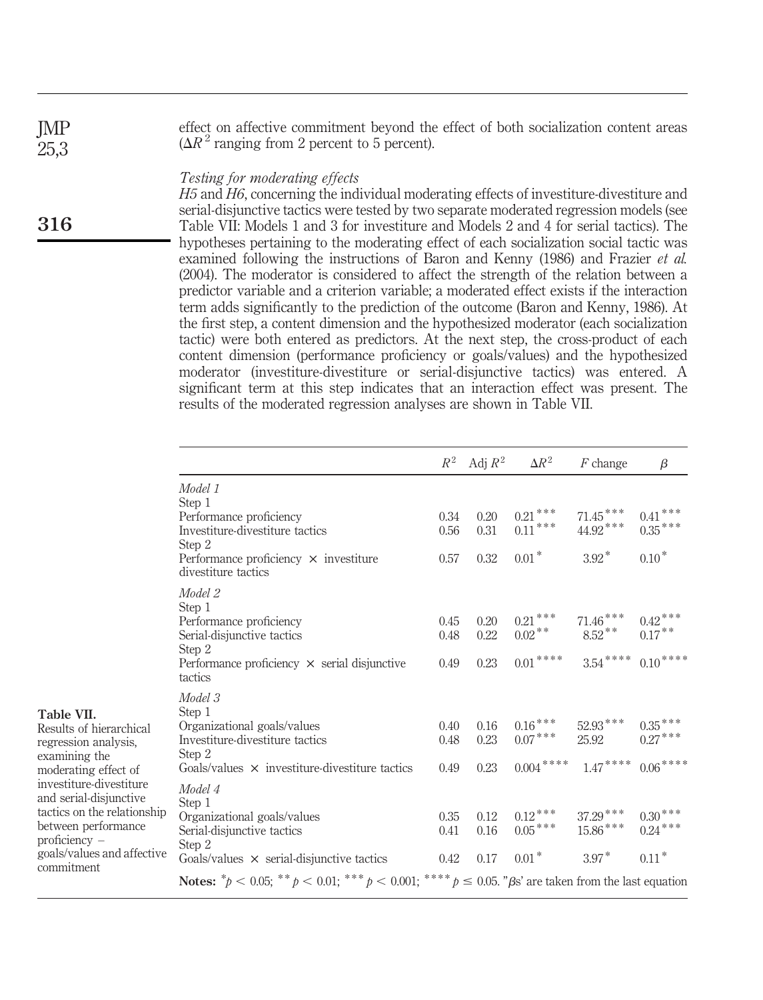effect on affective commitment beyond the effect of both socialization content areas  $(\Delta R^2$  ranging from 2 percent to 5 percent).

# Testing for moderating effects

H5 and H6, concerning the individual moderating effects of investiture-divestiture and serial-disjunctive tactics were tested by two separate moderated regression models (see Table VII: Models 1 and 3 for investiture and Models 2 and 4 for serial tactics). The hypotheses pertaining to the moderating effect of each socialization social tactic was examined following the instructions of Baron and Kenny (1986) and Frazier *et al.* (2004). The moderator is considered to affect the strength of the relation between a predictor variable and a criterion variable; a moderated effect exists if the interaction term adds significantly to the prediction of the outcome (Baron and Kenny, 1986). At the first step, a content dimension and the hypothesized moderator (each socialization tactic) were both entered as predictors. At the next step, the cross-product of each content dimension (performance proficiency or goals/values) and the hypothesized moderator (investiture-divestiture or serial-disjunctive tactics) was entered. A significant term at this step indicates that an interaction effect was present. The results of the moderated regression analyses are shown in Table VII.

|                                                                                                                                                        | $R^2$                | Adj $R^2$            | $\Delta R^2$                        | $F$ change                                             | β                                         |
|--------------------------------------------------------------------------------------------------------------------------------------------------------|----------------------|----------------------|-------------------------------------|--------------------------------------------------------|-------------------------------------------|
| Model 1                                                                                                                                                |                      |                      |                                     |                                                        |                                           |
| Step 1<br>Performance proficiency<br>Investiture-divestiture tactics                                                                                   | 0.34<br>0.56         | 0.20<br>0.31         | $0.21***$<br>$0.11^{\;**\;*}$       | $71.45***$<br>$44.92***$                               | $0.41^{\;***}$<br>$0.35***$               |
| Step 2<br>Performance proficiency $\times$ investiture<br>divestiture tactics                                                                          | 0.57                 | 0.32                 | $0.01*$                             | $3.92*$                                                | $0.10*$                                   |
| Model 2<br>Step 1<br>Performance proficiency<br>Serial-disjunctive tactics<br>Step 2<br>Performance proficiency $\times$ serial disjunctive<br>tactics | 0.45<br>0.48<br>0.49 | 0.20<br>0.22<br>0.23 | $0.21***$<br>$0.02$ **<br>$0.01***$ | $71.46***$<br>$8.52***$<br>${3.54}^{\ast\ast\ast\ast}$ | $0.42***$<br>$0.17***$<br>$0.10***$       |
| Model 3<br>Step 1                                                                                                                                      |                      |                      |                                     |                                                        |                                           |
| Organizational goals/values<br>Investiture-divestiture tactics                                                                                         | 0.40<br>0.48         | 0.16<br>0.23         | $0.16***$ 52.93***<br>$0.07***$     | 25.92                                                  | $0.35***$<br>$0.27***$                    |
| Step 2<br>$Goals/values \times inversedivestive$ divestiture tactics                                                                                   | 0.49                 | 0.23                 | $0.004***$                          | $1.47***$                                              | $0.06***$                                 |
| Model 4<br>Step 1                                                                                                                                      |                      |                      |                                     |                                                        |                                           |
| Organizational goals/values<br>Serial-disjunctive tactics                                                                                              | 0.35<br>0.41         | 0.12<br>0.16         | $0.12***$<br>$0.05***$              | ${37.29}^{***}$<br>${15.86}^{***}$                     | $0.30^{\,***}$<br>${0.24}^{\ast\ast\ast}$ |
| Step 2<br>Goals/values $\times$ serial-disjunctive tactics                                                                                             | 0.42                 | 0.17                 | $0.01*$                             | $3.97*$                                                | $0.11$ <sup>*</sup>                       |
| <b>Notes:</b> $^*p$ < 0.05; ** $p$ < 0.01; *** $p$ < 0.001; **** $p$ ≤ 0.05. " $\beta$ s' are taken from the last equation                             |                      |                      |                                     |                                                        |                                           |

Table VII.

Results of hierarchica regression analysis, examining the moderating effect of investiture-divestitur and serial-disjunctive tactics on the relation between performance proficiency – goals/values and affectively commitment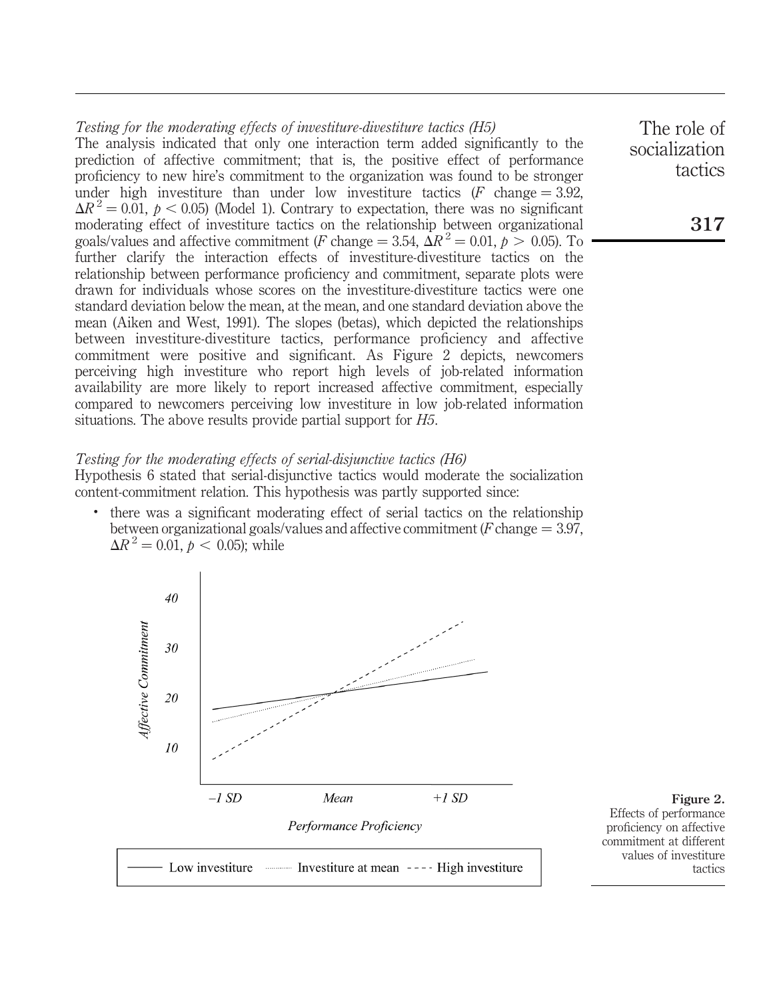Testing for the moderating effects of investiture-divestiture tactics (H5) The analysis indicated that only one interaction term added significantly to the prediction of affective commitment; that is, the positive effect of performance proficiency to new hire's commitment to the organization was found to be stronger under high investiture than under low investiture tactics  $(F \text{ change} = 3.92,$  $\Delta R^2 = 0.01$ ,  $p < 0.05$ ) (Model 1). Contrary to expectation, there was no significant moderating effect of investiture tactics on the relationship between organizational goals/values and affective commitment (F change = 3.54,  $\Delta R^2 = 0.01$ ,  $p > 0.05$ ). To further clarify the interaction effects of investiture-divestiture tactics on the relationship between performance proficiency and commitment, separate plots were drawn for individuals whose scores on the investiture-divestiture tactics were one standard deviation below the mean, at the mean, and one standard deviation above the mean (Aiken and West, 1991). The slopes (betas), which depicted the relationships between investiture-divestiture tactics, performance proficiency and affective commitment were positive and significant. As Figure 2 depicts, newcomers perceiving high investiture who report high levels of job-related information availability are more likely to report increased affective commitment, especially compared to newcomers perceiving low investiture in low job-related information situations. The above results provide partial support for H5. The role of socialization

# Testing for the moderating effects of serial-disjunctive tactics (H6)

Hypothesis 6 stated that serial-disjunctive tactics would moderate the socialization content-commitment relation. This hypothesis was partly supported since:

. there was a significant moderating effect of serial tactics on the relationship between organizational goals/values and affective commitment ( $F$ change  $= 3.97$ ,  $\Delta R^2 = 0.01$ ,  $p < 0.05$ ); while



Figure 2. Effects of performance proficiency on affective commitment at different values of investiture tactics

tactics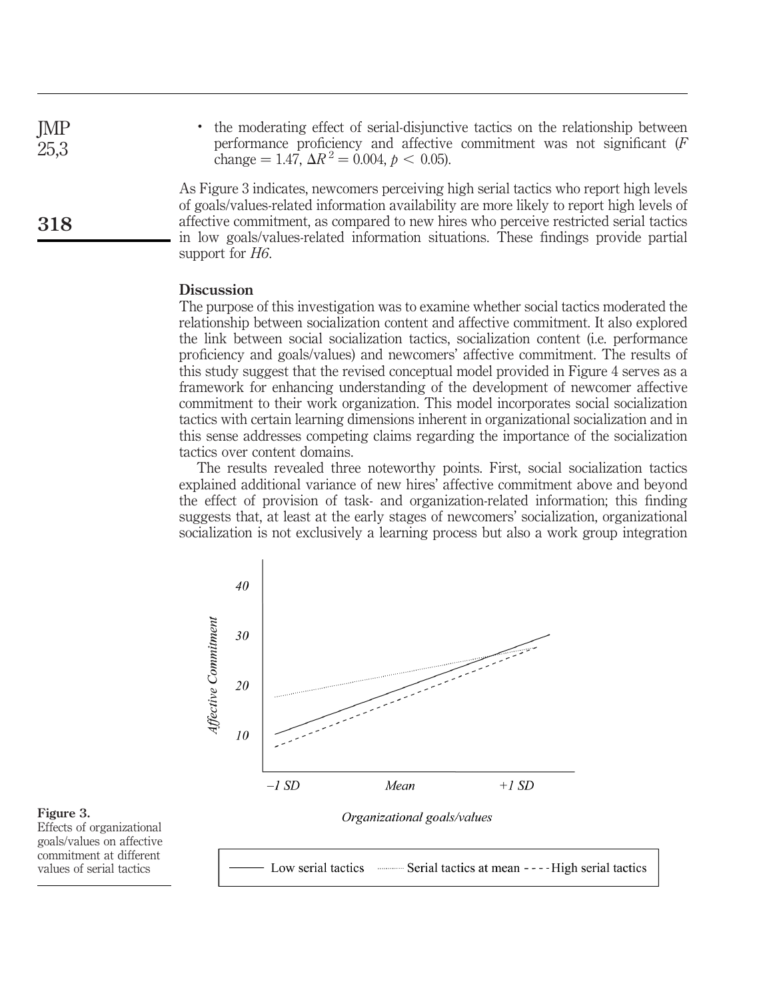| JMP<br>25,3 | • the moderating effect of serial-disjunctive tactics on the relationship between<br>performance proficiency and affective commitment was not significant (F<br>change = 1.47, $\Delta R^2$ = 0.004, $p < 0.05$ ).                                                                                                                                                                    |
|-------------|---------------------------------------------------------------------------------------------------------------------------------------------------------------------------------------------------------------------------------------------------------------------------------------------------------------------------------------------------------------------------------------|
| 318         | As Figure 3 indicates, newcomers perceiving high serial tactics who report high levels<br>of goals/values-related information availability are more likely to report high levels of<br>affective commitment, as compared to new hires who perceive restricted serial tactics<br>in low goals/values-related information situations. These findings provide partial<br>support for H6. |

#### **Discussion**

The purpose of this investigation was to examine whether social tactics moderated the relationship between socialization content and affective commitment. It also explored the link between social socialization tactics, socialization content (i.e. performance proficiency and goals/values) and newcomers' affective commitment. The results of this study suggest that the revised conceptual model provided in Figure 4 serves as a framework for enhancing understanding of the development of newcomer affective commitment to their work organization. This model incorporates social socialization tactics with certain learning dimensions inherent in organizational socialization and in this sense addresses competing claims regarding the importance of the socialization tactics over content domains.

The results revealed three noteworthy points. First, social socialization tactics explained additional variance of new hires' affective commitment above and beyond the effect of provision of task- and organization-related information; this finding suggests that, at least at the early stages of newcomers' socialization, organizational socialization is not exclusively a learning process but also a work group integration



#### Figure 3.

Effects of organizational goals/values on affective commitment at different values of serial tactics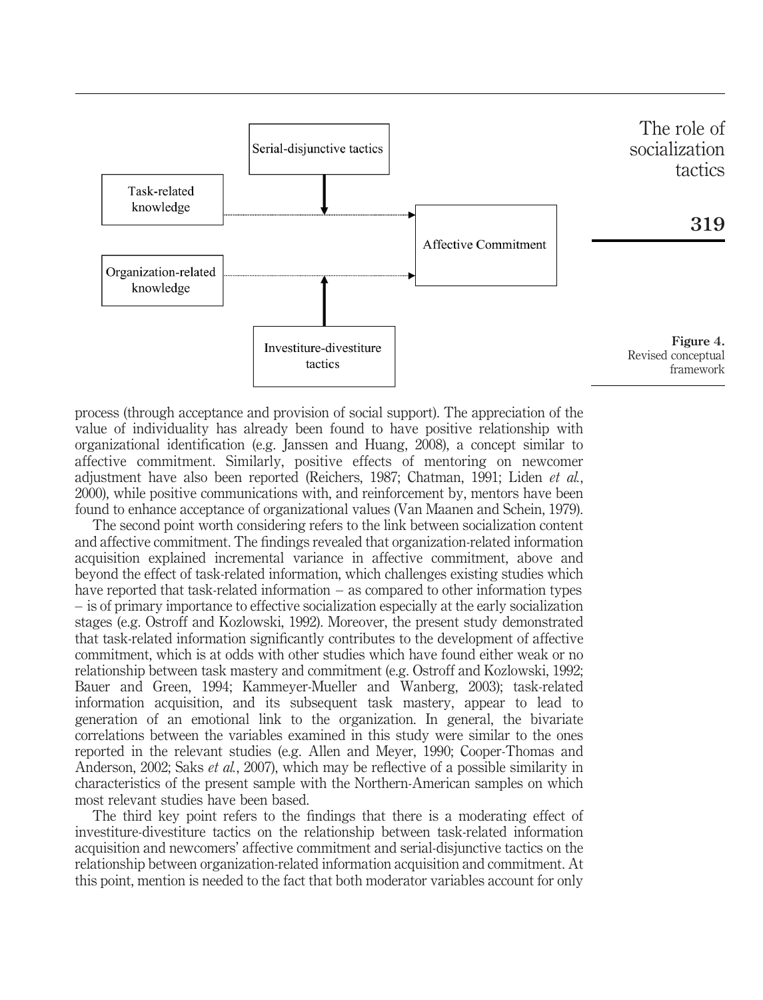

process (through acceptance and provision of social support). The appreciation of the value of individuality has already been found to have positive relationship with organizational identification (e.g. Janssen and Huang, 2008), a concept similar to affective commitment. Similarly, positive effects of mentoring on newcomer adjustment have also been reported (Reichers, 1987; Chatman, 1991; Liden et al., 2000), while positive communications with, and reinforcement by, mentors have been found to enhance acceptance of organizational values (Van Maanen and Schein, 1979).

The second point worth considering refers to the link between socialization content and affective commitment. The findings revealed that organization-related information acquisition explained incremental variance in affective commitment, above and beyond the effect of task-related information, which challenges existing studies which have reported that task-related information – as compared to other information types – is of primary importance to effective socialization especially at the early socialization stages (e.g. Ostroff and Kozlowski, 1992). Moreover, the present study demonstrated that task-related information significantly contributes to the development of affective commitment, which is at odds with other studies which have found either weak or no relationship between task mastery and commitment (e.g. Ostroff and Kozlowski, 1992; Bauer and Green, 1994; Kammeyer-Mueller and Wanberg, 2003); task-related information acquisition, and its subsequent task mastery, appear to lead to generation of an emotional link to the organization. In general, the bivariate correlations between the variables examined in this study were similar to the ones reported in the relevant studies (e.g. Allen and Meyer, 1990; Cooper-Thomas and Anderson, 2002; Saks et al., 2007), which may be reflective of a possible similarity in characteristics of the present sample with the Northern-American samples on which most relevant studies have been based.

The third key point refers to the findings that there is a moderating effect of investiture-divestiture tactics on the relationship between task-related information acquisition and newcomers' affective commitment and serial-disjunctive tactics on the relationship between organization-related information acquisition and commitment. At this point, mention is needed to the fact that both moderator variables account for only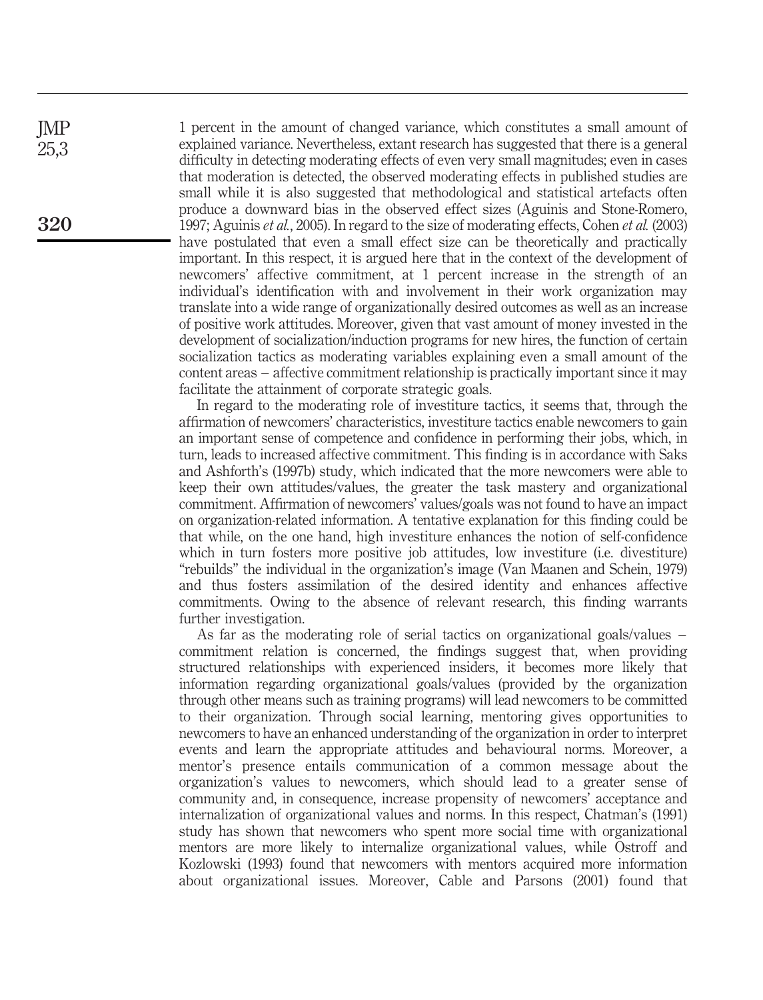1 percent in the amount of changed variance, which constitutes a small amount of explained variance. Nevertheless, extant research has suggested that there is a general difficulty in detecting moderating effects of even very small magnitudes; even in cases that moderation is detected, the observed moderating effects in published studies are small while it is also suggested that methodological and statistical artefacts often produce a downward bias in the observed effect sizes (Aguinis and Stone-Romero, 1997; Aguinis et al., 2005). In regard to the size of moderating effects, Cohen et al. (2003) have postulated that even a small effect size can be theoretically and practically important. In this respect, it is argued here that in the context of the development of newcomers' affective commitment, at 1 percent increase in the strength of an individual's identification with and involvement in their work organization may translate into a wide range of organizationally desired outcomes as well as an increase of positive work attitudes. Moreover, given that vast amount of money invested in the development of socialization/induction programs for new hires, the function of certain socialization tactics as moderating variables explaining even a small amount of the content areas – affective commitment relationship is practically important since it may facilitate the attainment of corporate strategic goals.

In regard to the moderating role of investiture tactics, it seems that, through the affirmation of newcomers' characteristics, investiture tactics enable newcomers to gain an important sense of competence and confidence in performing their jobs, which, in turn, leads to increased affective commitment. This finding is in accordance with Saks and Ashforth's (1997b) study, which indicated that the more newcomers were able to keep their own attitudes/values, the greater the task mastery and organizational commitment. Affirmation of newcomers' values/goals was not found to have an impact on organization-related information. A tentative explanation for this finding could be that while, on the one hand, high investiture enhances the notion of self-confidence which in turn fosters more positive job attitudes, low investiture (i.e. divestiture) "rebuilds" the individual in the organization's image (Van Maanen and Schein, 1979) and thus fosters assimilation of the desired identity and enhances affective commitments. Owing to the absence of relevant research, this finding warrants further investigation.

As far as the moderating role of serial tactics on organizational goals/values – commitment relation is concerned, the findings suggest that, when providing structured relationships with experienced insiders, it becomes more likely that information regarding organizational goals/values (provided by the organization through other means such as training programs) will lead newcomers to be committed to their organization. Through social learning, mentoring gives opportunities to newcomers to have an enhanced understanding of the organization in order to interpret events and learn the appropriate attitudes and behavioural norms. Moreover, a mentor's presence entails communication of a common message about the organization's values to newcomers, which should lead to a greater sense of community and, in consequence, increase propensity of newcomers' acceptance and internalization of organizational values and norms. In this respect, Chatman's (1991) study has shown that newcomers who spent more social time with organizational mentors are more likely to internalize organizational values, while Ostroff and Kozlowski (1993) found that newcomers with mentors acquired more information about organizational issues. Moreover, Cable and Parsons (2001) found that

JMP 25,3

320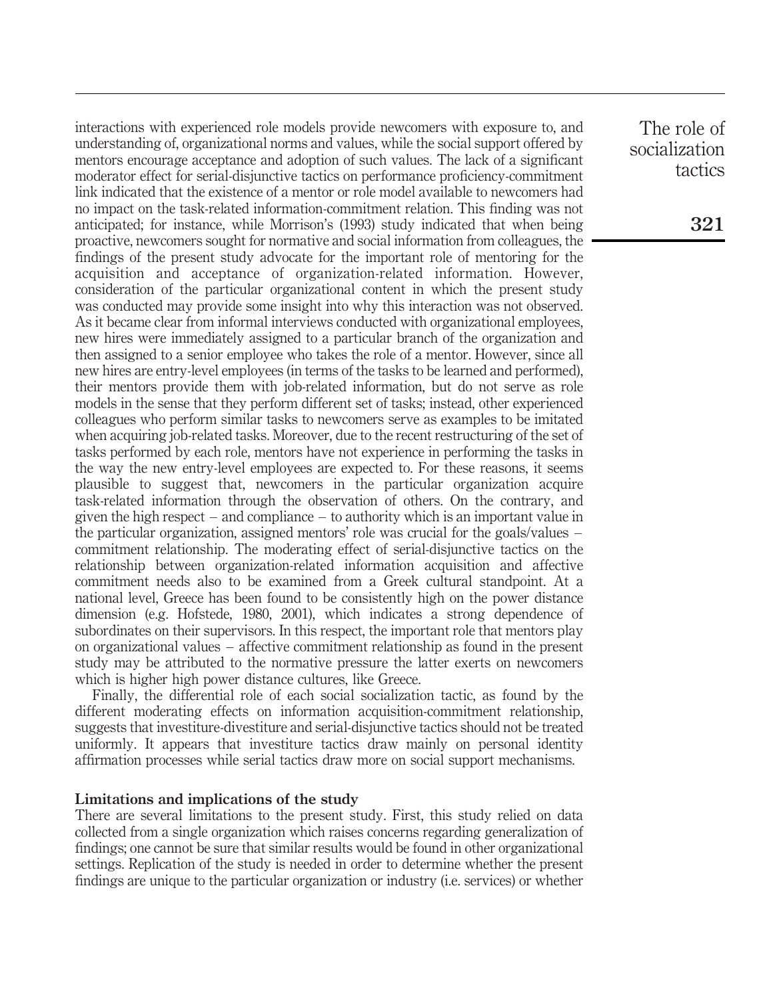interactions with experienced role models provide newcomers with exposure to, and understanding of, organizational norms and values, while the social support offered by mentors encourage acceptance and adoption of such values. The lack of a significant moderator effect for serial-disjunctive tactics on performance proficiency-commitment link indicated that the existence of a mentor or role model available to newcomers had no impact on the task-related information-commitment relation. This finding was not anticipated; for instance, while Morrison's (1993) study indicated that when being proactive, newcomers sought for normative and social information from colleagues, the findings of the present study advocate for the important role of mentoring for the acquisition and acceptance of organization-related information. However, consideration of the particular organizational content in which the present study was conducted may provide some insight into why this interaction was not observed. As it became clear from informal interviews conducted with organizational employees, new hires were immediately assigned to a particular branch of the organization and then assigned to a senior employee who takes the role of a mentor. However, since all new hires are entry-level employees (in terms of the tasks to be learned and performed), their mentors provide them with job-related information, but do not serve as role models in the sense that they perform different set of tasks; instead, other experienced colleagues who perform similar tasks to newcomers serve as examples to be imitated when acquiring job-related tasks. Moreover, due to the recent restructuring of the set of tasks performed by each role, mentors have not experience in performing the tasks in the way the new entry-level employees are expected to. For these reasons, it seems plausible to suggest that, newcomers in the particular organization acquire task-related information through the observation of others. On the contrary, and given the high respect – and compliance – to authority which is an important value in the particular organization, assigned mentors' role was crucial for the goals/values – commitment relationship. The moderating effect of serial-disjunctive tactics on the relationship between organization-related information acquisition and affective commitment needs also to be examined from a Greek cultural standpoint. At a national level, Greece has been found to be consistently high on the power distance dimension (e.g. Hofstede, 1980, 2001), which indicates a strong dependence of subordinates on their supervisors. In this respect, the important role that mentors play on organizational values – affective commitment relationship as found in the present study may be attributed to the normative pressure the latter exerts on newcomers which is higher high power distance cultures, like Greece.

Finally, the differential role of each social socialization tactic, as found by the different moderating effects on information acquisition-commitment relationship, suggests that investiture-divestiture and serial-disjunctive tactics should not be treated uniformly. It appears that investiture tactics draw mainly on personal identity affirmation processes while serial tactics draw more on social support mechanisms.

# Limitations and implications of the study

There are several limitations to the present study. First, this study relied on data collected from a single organization which raises concerns regarding generalization of findings; one cannot be sure that similar results would be found in other organizational settings. Replication of the study is needed in order to determine whether the present findings are unique to the particular organization or industry (i.e. services) or whether

The role of socialization tactics

321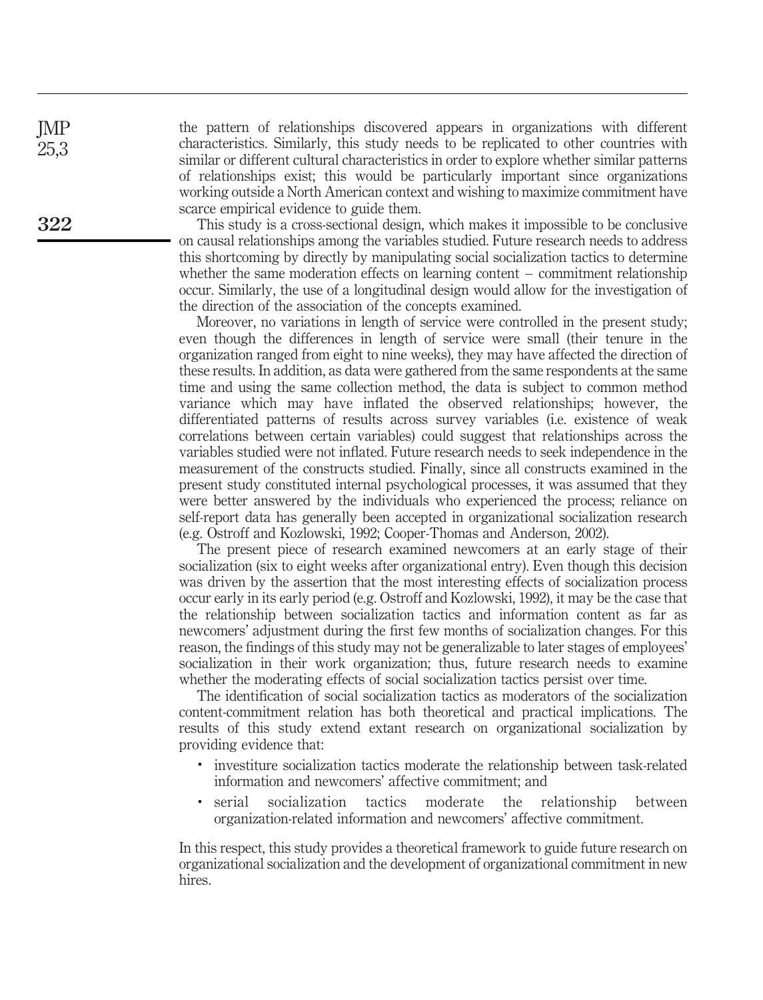the pattern of relationships discovered appears in organizations with different characteristics. Similarly, this study needs to be replicated to other countries with similar or different cultural characteristics in order to explore whether similar patterns of relationships exist; this would be particularly important since organizations working outside a North American context and wishing to maximize commitment have scarce empirical evidence to guide them.

This study is a cross-sectional design, which makes it impossible to be conclusive on causal relationships among the variables studied. Future research needs to address this shortcoming by directly by manipulating social socialization tactics to determine whether the same moderation effects on learning content – commitment relationship occur. Similarly, the use of a longitudinal design would allow for the investigation of the direction of the association of the concepts examined.

Moreover, no variations in length of service were controlled in the present study; even though the differences in length of service were small (their tenure in the organization ranged from eight to nine weeks), they may have affected the direction of these results. In addition, as data were gathered from the same respondents at the same time and using the same collection method, the data is subject to common method variance which may have inflated the observed relationships; however, the differentiated patterns of results across survey variables (i.e. existence of weak correlations between certain variables) could suggest that relationships across the variables studied were not inflated. Future research needs to seek independence in the measurement of the constructs studied. Finally, since all constructs examined in the present study constituted internal psychological processes, it was assumed that they were better answered by the individuals who experienced the process; reliance on self-report data has generally been accepted in organizational socialization research (e.g. Ostroff and Kozlowski, 1992; Cooper-Thomas and Anderson, 2002).

The present piece of research examined newcomers at an early stage of their socialization (six to eight weeks after organizational entry). Even though this decision was driven by the assertion that the most interesting effects of socialization process occur early in its early period (e.g. Ostroff and Kozlowski, 1992), it may be the case that the relationship between socialization tactics and information content as far as newcomers' adjustment during the first few months of socialization changes. For this reason, the findings of this study may not be generalizable to later stages of employees' socialization in their work organization; thus, future research needs to examine whether the moderating effects of social socialization tactics persist over time.

The identification of social socialization tactics as moderators of the socialization content-commitment relation has both theoretical and practical implications. The results of this study extend extant research on organizational socialization by providing evidence that:

- . investiture socialization tactics moderate the relationship between task-related information and newcomers' affective commitment; and
- . serial socialization tactics moderate the relationship between organization-related information and newcomers' affective commitment.

In this respect, this study provides a theoretical framework to guide future research on organizational socialization and the development of organizational commitment in new hires.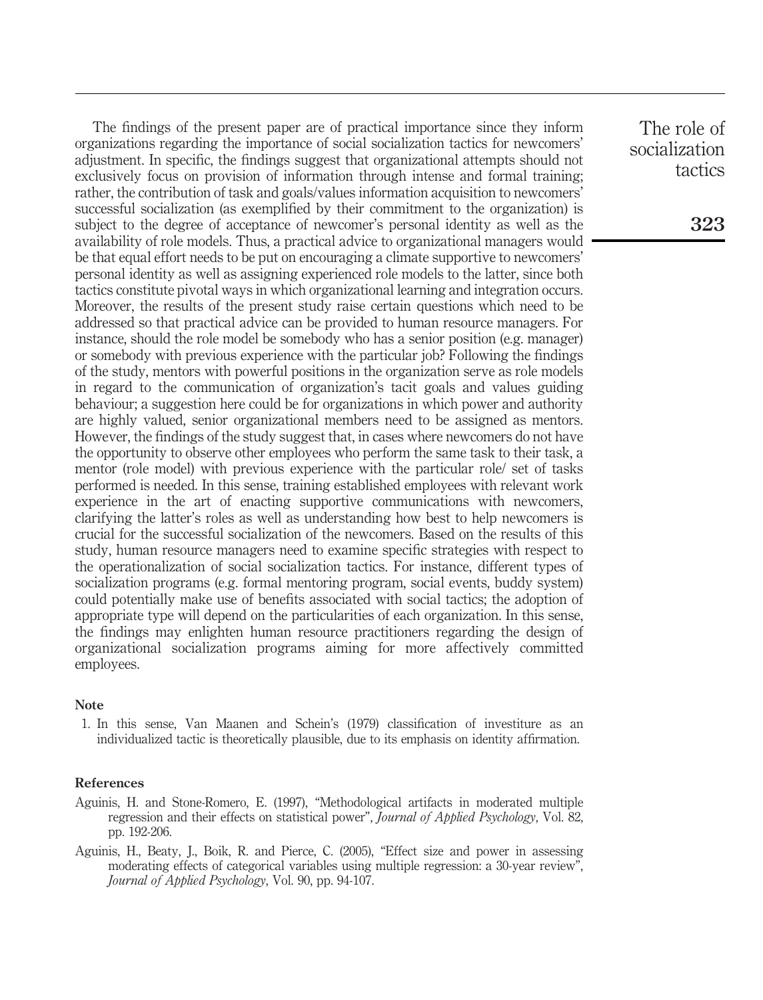The findings of the present paper are of practical importance since they inform organizations regarding the importance of social socialization tactics for newcomers' adjustment. In specific, the findings suggest that organizational attempts should not exclusively focus on provision of information through intense and formal training; rather, the contribution of task and goals/values information acquisition to newcomers' successful socialization (as exemplified by their commitment to the organization) is subject to the degree of acceptance of newcomer's personal identity as well as the availability of role models. Thus, a practical advice to organizational managers would be that equal effort needs to be put on encouraging a climate supportive to newcomers' personal identity as well as assigning experienced role models to the latter, since both tactics constitute pivotal ways in which organizational learning and integration occurs. Moreover, the results of the present study raise certain questions which need to be addressed so that practical advice can be provided to human resource managers. For instance, should the role model be somebody who has a senior position (e.g. manager) or somebody with previous experience with the particular job? Following the findings of the study, mentors with powerful positions in the organization serve as role models in regard to the communication of organization's tacit goals and values guiding behaviour; a suggestion here could be for organizations in which power and authority are highly valued, senior organizational members need to be assigned as mentors. However, the findings of the study suggest that, in cases where newcomers do not have the opportunity to observe other employees who perform the same task to their task, a mentor (role model) with previous experience with the particular role/ set of tasks performed is needed. In this sense, training established employees with relevant work experience in the art of enacting supportive communications with newcomers, clarifying the latter's roles as well as understanding how best to help newcomers is crucial for the successful socialization of the newcomers. Based on the results of this study, human resource managers need to examine specific strategies with respect to the operationalization of social socialization tactics. For instance, different types of socialization programs (e.g. formal mentoring program, social events, buddy system) could potentially make use of benefits associated with social tactics; the adoption of appropriate type will depend on the particularities of each organization. In this sense, the findings may enlighten human resource practitioners regarding the design of organizational socialization programs aiming for more affectively committed employees.

# Note

1. In this sense, Van Maanen and Schein's (1979) classification of investiture as an individualized tactic is theoretically plausible, due to its emphasis on identity affirmation.

#### References

- Aguinis, H. and Stone-Romero, E. (1997), "Methodological artifacts in moderated multiple regression and their effects on statistical power", Journal of Applied Psychology, Vol. 82, pp. 192-206.
- Aguinis, H., Beaty, J., Boik, R. and Pierce, C. (2005), "Effect size and power in assessing moderating effects of categorical variables using multiple regression: a 30-year review", Journal of Applied Psychology, Vol. 90, pp. 94-107.

The role of socialization tactics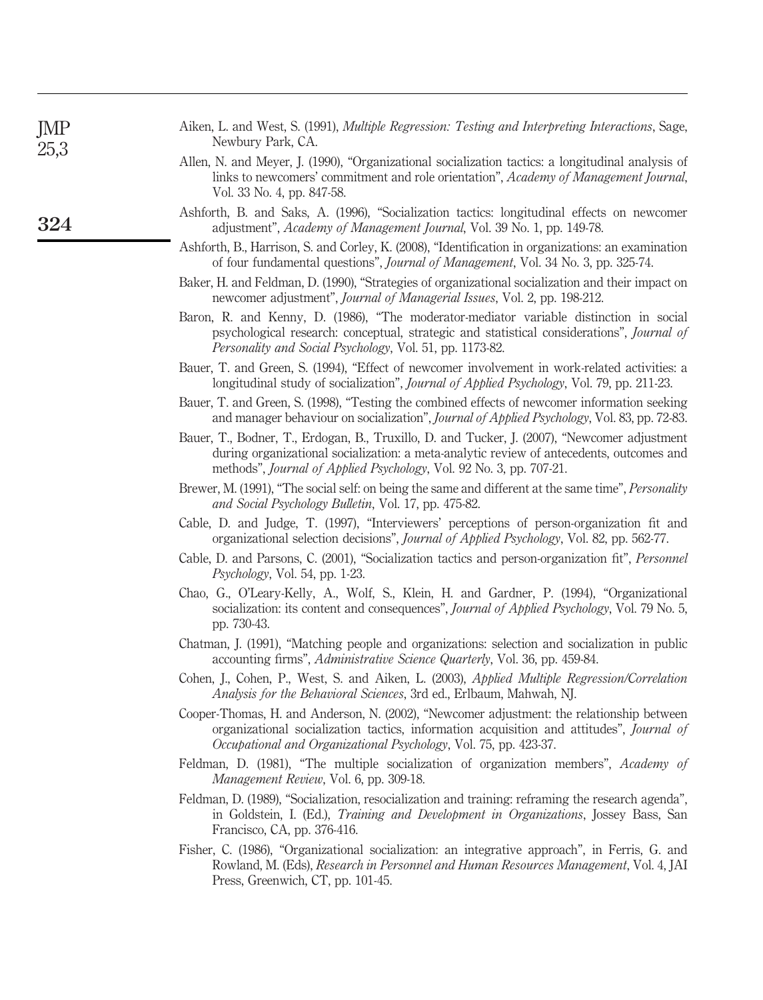| Aiken, L. and West, S. (1991), <i>Multiple Regression: Testing and Interpreting Interactions</i> , Sage, |  |  |  |
|----------------------------------------------------------------------------------------------------------|--|--|--|
| Newbury Park, CA.                                                                                        |  |  |  |

- Allen, N. and Meyer, J. (1990), "Organizational socialization tactics: a longitudinal analysis of links to newcomers' commitment and role orientation", Academy of Management Journal, Vol. 33 No. 4, pp. 847-58.
- Ashforth, B. and Saks, A. (1996), "Socialization tactics: longitudinal effects on newcomer adjustment", Academy of Management Journal, Vol. 39 No. 1, pp. 149-78.
- Ashforth, B., Harrison, S. and Corley, K. (2008), "Identification in organizations: an examination of four fundamental questions", Journal of Management, Vol. 34 No. 3, pp. 325-74.
- Baker, H. and Feldman, D. (1990), "Strategies of organizational socialization and their impact on newcomer adjustment", Journal of Managerial Issues, Vol. 2, pp. 198-212.
- Baron, R. and Kenny, D. (1986), "The moderator-mediator variable distinction in social psychological research: conceptual, strategic and statistical considerations", Journal of Personality and Social Psychology, Vol. 51, pp. 1173-82.
- Bauer, T. and Green, S. (1994), "Effect of newcomer involvement in work-related activities: a longitudinal study of socialization", Journal of Applied Psychology, Vol. 79, pp. 211-23.
- Bauer, T. and Green, S. (1998), "Testing the combined effects of newcomer information seeking and manager behaviour on socialization", Journal of Applied Psychology, Vol. 83, pp. 72-83.
- Bauer, T., Bodner, T., Erdogan, B., Truxillo, D. and Tucker, J. (2007), "Newcomer adjustment during organizational socialization: a meta-analytic review of antecedents, outcomes and methods", *Journal of Applied Psychology*, Vol. 92 No. 3, pp. 707-21.
- Brewer, M. (1991), "The social self: on being the same and different at the same time", *Personality* and Social Psychology Bulletin, Vol. 17, pp. 475-82.
- Cable, D. and Judge, T. (1997), "Interviewers' perceptions of person-organization fit and organizational selection decisions", Journal of Applied Psychology, Vol. 82, pp. 562-77.
- Cable, D. and Parsons, C. (2001), "Socialization tactics and person-organization fit", Personnel Psychology, Vol. 54, pp. 1-23.
- Chao, G., O'Leary-Kelly, A., Wolf, S., Klein, H. and Gardner, P. (1994), "Organizational socialization: its content and consequences", *Journal of Applied Psychology*, Vol. 79 No. 5, pp. 730-43.
- Chatman, J. (1991), "Matching people and organizations: selection and socialization in public accounting firms", Administrative Science Quarterly, Vol. 36, pp. 459-84.
- Cohen, J., Cohen, P., West, S. and Aiken, L. (2003), Applied Multiple Regression/Correlation Analysis for the Behavioral Sciences, 3rd ed., Erlbaum, Mahwah, NJ.
- Cooper-Thomas, H. and Anderson, N. (2002), "Newcomer adjustment: the relationship between organizational socialization tactics, information acquisition and attitudes", Journal of Occupational and Organizational Psychology, Vol. 75, pp. 423-37.
- Feldman, D. (1981), "The multiple socialization of organization members", Academy of Management Review, Vol. 6, pp. 309-18.
- Feldman, D. (1989), "Socialization, resocialization and training: reframing the research agenda", in Goldstein, I. (Ed.), Training and Development in Organizations, Jossey Bass, San Francisco, CA, pp. 376-416.
- Fisher, C. (1986), "Organizational socialization: an integrative approach", in Ferris, G. and Rowland, M. (Eds), Research in Personnel and Human Resources Management, Vol. 4, JAI Press, Greenwich, CT, pp. 101-45.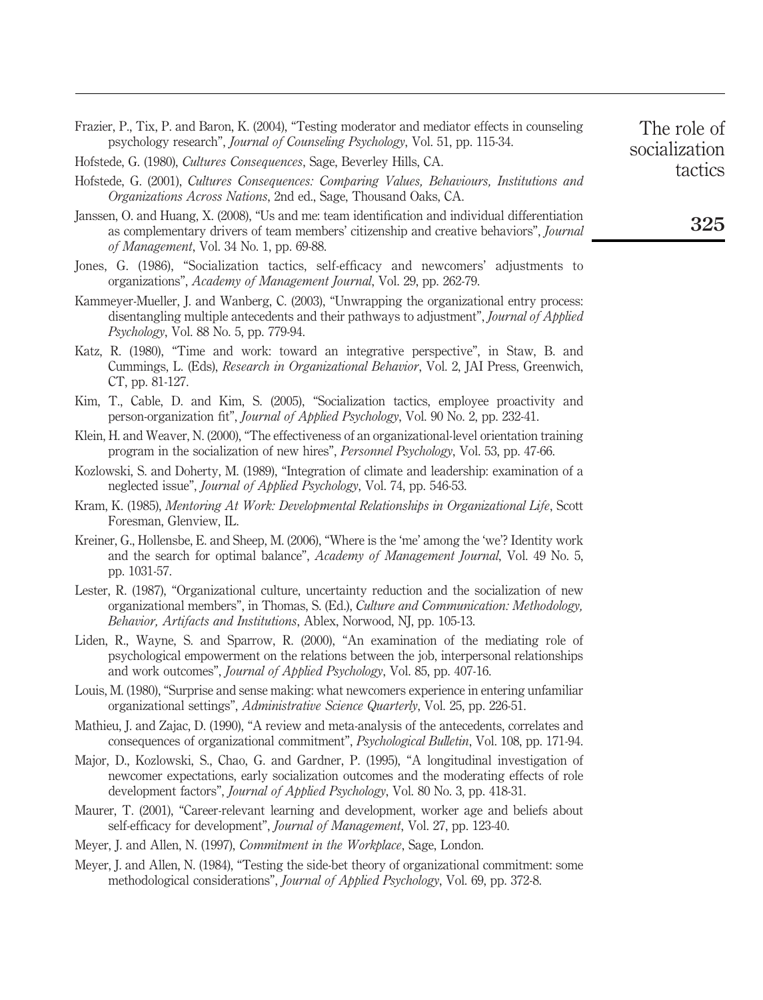| The role of<br>socialization | Frazier, P., Tix, P. and Baron, K. (2004), "Testing moderator and mediator effects in counseling<br>psychology research", Journal of Counseling Psychology, Vol. 51, pp. 115-34.                                                                                         |  |
|------------------------------|--------------------------------------------------------------------------------------------------------------------------------------------------------------------------------------------------------------------------------------------------------------------------|--|
|                              | Hofstede, G. (1980), Cultures Consequences, Sage, Beverley Hills, CA.                                                                                                                                                                                                    |  |
| tactics                      | Hofstede, G. (2001), Cultures Consequences: Comparing Values, Behaviours, Institutions and<br>Organizations Across Nations, 2nd ed., Sage, Thousand Oaks, CA.                                                                                                            |  |
| 325                          | Janssen, O. and Huang, X. (2008), "Us and me: team identification and individual differentiation<br>as complementary drivers of team members' citizenship and creative behaviors", Journal<br><i>of Management</i> , Vol. 34 No. 1, pp. 69-88.                           |  |
|                              | Jones, G. (1986), "Socialization tactics, self-efficacy and newcomers' adjustments to<br>organizations", Academy of Management Journal, Vol. 29, pp. 262-79.                                                                                                             |  |
|                              | Kammeyer-Mueller, J. and Wanberg, C. (2003), "Unwrapping the organizational entry process:<br>disentangling multiple antecedents and their pathways to adjustment", <i>Journal of Applied</i><br>Psychology, Vol. 88 No. 5, pp. 779-94.                                  |  |
|                              | Katz, R. (1980), "Time and work: toward an integrative perspective", in Staw, B. and<br>Cummings, L. (Eds), Research in Organizational Behavior, Vol. 2, JAI Press, Greenwich,<br>CT, pp. 81-127.                                                                        |  |
|                              | Kim, T., Cable, D. and Kim, S. (2005), "Socialization tactics, employee proactivity and<br>person-organization fit", Journal of Applied Psychology, Vol. 90 No. 2, pp. 232-41.                                                                                           |  |
|                              | Klein, H. and Weaver, N. (2000), "The effectiveness of an organizational-level orientation training<br>program in the socialization of new hires", Personnel Psychology, Vol. 53, pp. 47-66.                                                                             |  |
|                              | Kozlowski, S. and Doherty, M. (1989), "Integration of climate and leadership: examination of a<br>neglected issue", Journal of Applied Psychology, Vol. 74, pp. 546-53.                                                                                                  |  |
|                              | Kram, K. (1985), Mentoring At Work: Developmental Relationships in Organizational Life, Scott<br>Foresman, Glenview, IL.                                                                                                                                                 |  |
|                              | Kreiner, G., Hollensbe, E. and Sheep, M. (2006), "Where is the 'me' among the 'we'? Identity work<br>and the search for optimal balance", Academy of Management Journal, Vol. 49 No. 5,<br>pp. 1031-57.                                                                  |  |
|                              | Lester, R. (1987), "Organizational culture, uncertainty reduction and the socialization of new<br>organizational members", in Thomas, S. (Ed.), Culture and Communication: Methodology,<br>Behavior, Artifacts and Institutions, Ablex, Norwood, NJ, pp. 105-13.         |  |
|                              | Liden, R., Wayne, S. and Sparrow, R. (2000), "An examination of the mediating role of<br>psychological empowerment on the relations between the job, interpersonal relationships<br>and work outcomes", Journal of Applied Psychology, Vol. 85, pp. 407-16.              |  |
|                              | Louis, M. (1980), "Surprise and sense making: what newcomers experience in entering unfamiliar<br>organizational settings", Administrative Science Quarterly, Vol. 25, pp. 226-51.                                                                                       |  |
|                              | Mathieu, J. and Zajac, D. (1990), "A review and meta-analysis of the antecedents, correlates and<br>consequences of organizational commitment", Psychological Bulletin, Vol. 108, pp. 171-94.                                                                            |  |
|                              | Major, D., Kozlowski, S., Chao, G. and Gardner, P. (1995), "A longitudinal investigation of<br>newcomer expectations, early socialization outcomes and the moderating effects of role<br>development factors", Journal of Applied Psychology, Vol. 80 No. 3, pp. 418-31. |  |
|                              | Maurer, T. (2001), "Career-relevant learning and development, worker age and beliefs about<br>self-efficacy for development", Journal of Management, Vol. 27, pp. 123-40.                                                                                                |  |
|                              | Meyer, J. and Allen, N. (1997), Commitment in the Workplace, Sage, London.                                                                                                                                                                                               |  |
|                              | Meyer, J. and Allen, N. (1984), "Testing the side-bet theory of organizational commitment: some<br>methodological considerations", Journal of Applied Psychology, Vol. 69, pp. 372-8.                                                                                    |  |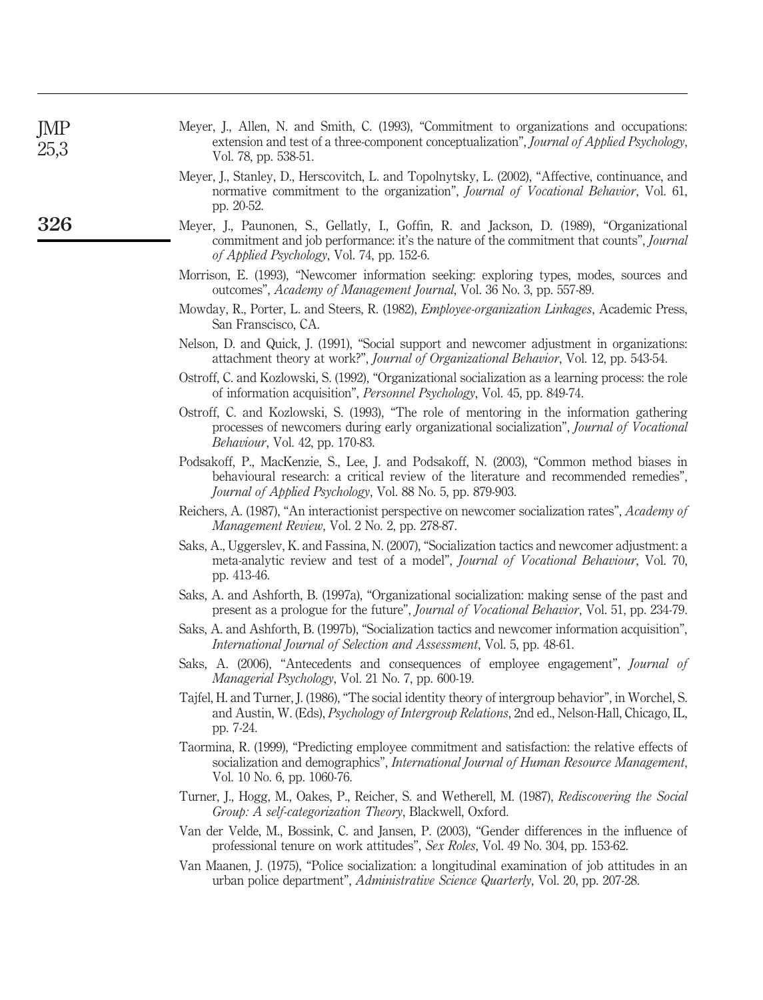|                      |  |  |  | Meyer, J., Allen, N. and Smith, C. (1993), "Commitment to organizations and occupations:           |  |
|----------------------|--|--|--|----------------------------------------------------------------------------------------------------|--|
|                      |  |  |  | extension and test of a three-component conceptualization", <i>Journal of Applied Psychology</i> , |  |
| Vol. 78, pp. 538-51. |  |  |  |                                                                                                    |  |

- Meyer, J., Stanley, D., Herscovitch, L. and Topolnytsky, L. (2002), "Affective, continuance, and normative commitment to the organization", *Journal of Vocational Behavior*, Vol. 61, pp. 20-52.
- Meyer, J., Paunonen, S., Gellatly, I., Goffin, R. and Jackson, D. (1989), "Organizational commitment and job performance: it's the nature of the commitment that counts", Journal of Applied Psychology, Vol. 74, pp. 152-6.
- Morrison, E. (1993), "Newcomer information seeking: exploring types, modes, sources and outcomes", Academy of Management Journal, Vol. 36 No. 3, pp. 557-89.
- Mowday, R., Porter, L. and Steers, R. (1982), Employee-organization Linkages, Academic Press, San Franscisco, CA.
- Nelson, D. and Quick, J. (1991), "Social support and newcomer adjustment in organizations: attachment theory at work?", Journal of Organizational Behavior, Vol. 12, pp. 543-54.
- Ostroff, C. and Kozlowski, S. (1992), "Organizational socialization as a learning process: the role of information acquisition", Personnel Psychology, Vol. 45, pp. 849-74.
- Ostroff, C. and Kozlowski, S. (1993), "The role of mentoring in the information gathering processes of newcomers during early organizational socialization", Journal of Vocational Behaviour, Vol. 42, pp. 170-83.
- Podsakoff, P., MacKenzie, S., Lee, J. and Podsakoff, N. (2003), "Common method biases in behavioural research: a critical review of the literature and recommended remedies", Journal of Applied Psychology, Vol. 88 No. 5, pp. 879-903.
- Reichers, A. (1987), "An interactionist perspective on newcomer socialization rates", Academy of Management Review, Vol. 2 No. 2, pp. 278-87.
- Saks, A., Uggerslev, K. and Fassina, N. (2007), "Socialization tactics and newcomer adjustment: a meta-analytic review and test of a model", Journal of Vocational Behaviour, Vol. 70, pp. 413-46.
- Saks, A. and Ashforth, B. (1997a), "Organizational socialization: making sense of the past and present as a prologue for the future", Journal of Vocational Behavior, Vol. 51, pp. 234-79.
- Saks, A. and Ashforth, B. (1997b), "Socialization tactics and newcomer information acquisition", International Journal of Selection and Assessment, Vol. 5, pp. 48-61.
- Saks, A. (2006), "Antecedents and consequences of employee engagement", Journal of Managerial Psychology, Vol. 21 No. 7, pp. 600-19.
- Tajfel, H. and Turner, J. (1986), "The social identity theory of intergroup behavior", in Worchel, S. and Austin, W. (Eds), Psychology of Intergroup Relations, 2nd ed., Nelson-Hall, Chicago, IL, pp. 7-24.
- Taormina, R. (1999), "Predicting employee commitment and satisfaction: the relative effects of socialization and demographics", International Journal of Human Resource Management, Vol. 10 No. 6, pp. 1060-76.
- Turner, J., Hogg, M., Oakes, P., Reicher, S. and Wetherell, M. (1987), Rediscovering the Social Group: A self-categorization Theory, Blackwell, Oxford.
- Van der Velde, M., Bossink, C. and Jansen, P. (2003), "Gender differences in the influence of professional tenure on work attitudes", Sex Roles, Vol. 49 No. 304, pp. 153-62.
- Van Maanen, J. (1975), "Police socialization: a longitudinal examination of job attitudes in an urban police department", Administrative Science Quarterly, Vol. 20, pp. 207-28.